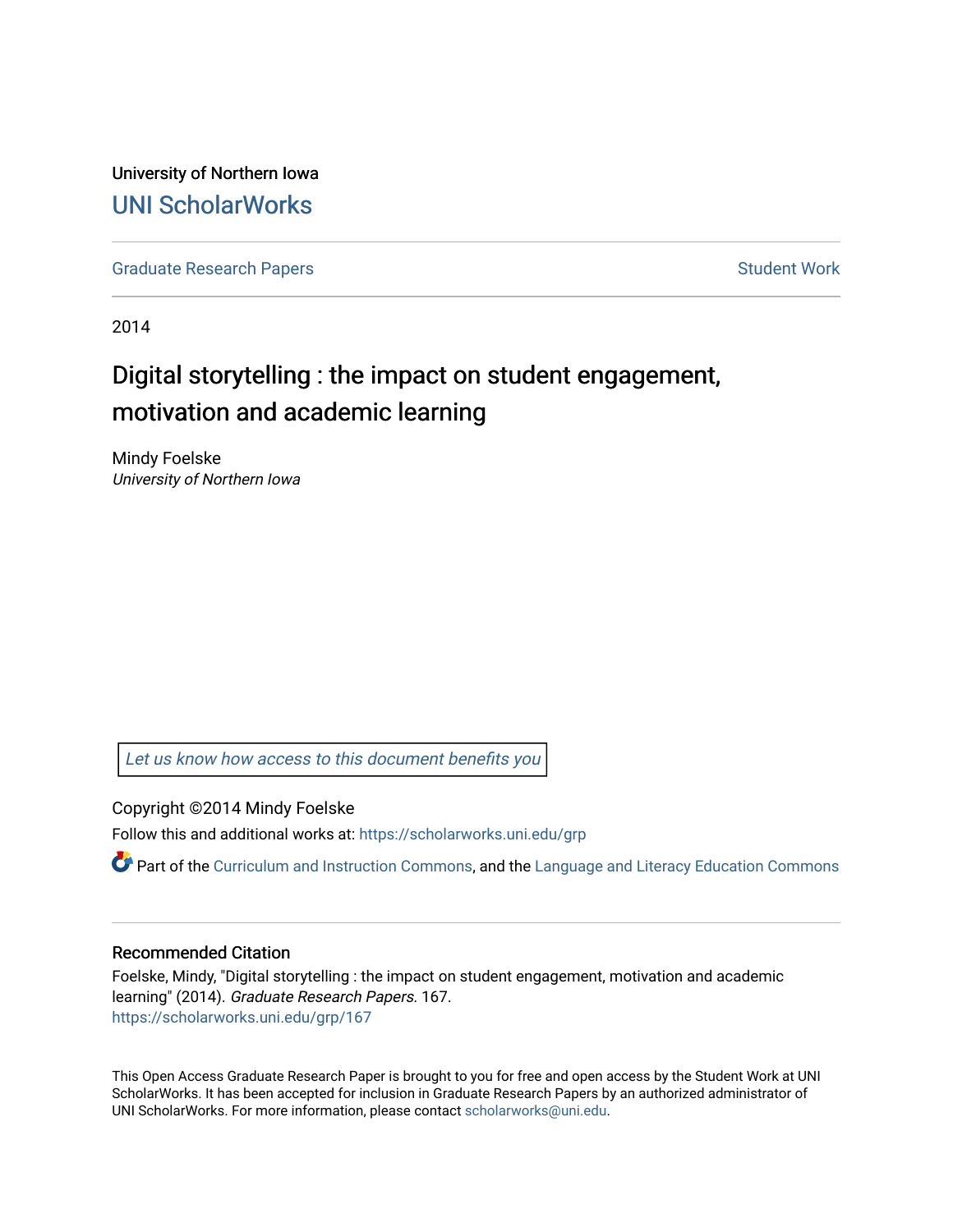University of Northern Iowa [UNI ScholarWorks](https://scholarworks.uni.edu/) 

[Graduate Research Papers](https://scholarworks.uni.edu/grp) **Student Work** Student Work

2014

# Digital storytelling : the impact on student engagement, motivation and academic learning

Mindy Foelske University of Northern Iowa

[Let us know how access to this document benefits you](https://scholarworks.uni.edu/feedback_form.html) 

Copyright ©2014 Mindy Foelske

Follow this and additional works at: [https://scholarworks.uni.edu/grp](https://scholarworks.uni.edu/grp?utm_source=scholarworks.uni.edu%2Fgrp%2F167&utm_medium=PDF&utm_campaign=PDFCoverPages) 

**C** Part of the [Curriculum and Instruction Commons,](http://network.bepress.com/hgg/discipline/786?utm_source=scholarworks.uni.edu%2Fgrp%2F167&utm_medium=PDF&utm_campaign=PDFCoverPages) and the Language and Literacy Education Commons

#### Recommended Citation

Foelske, Mindy, "Digital storytelling : the impact on student engagement, motivation and academic learning" (2014). Graduate Research Papers. 167. [https://scholarworks.uni.edu/grp/167](https://scholarworks.uni.edu/grp/167?utm_source=scholarworks.uni.edu%2Fgrp%2F167&utm_medium=PDF&utm_campaign=PDFCoverPages) 

This Open Access Graduate Research Paper is brought to you for free and open access by the Student Work at UNI ScholarWorks. It has been accepted for inclusion in Graduate Research Papers by an authorized administrator of UNI ScholarWorks. For more information, please contact [scholarworks@uni.edu.](mailto:scholarworks@uni.edu)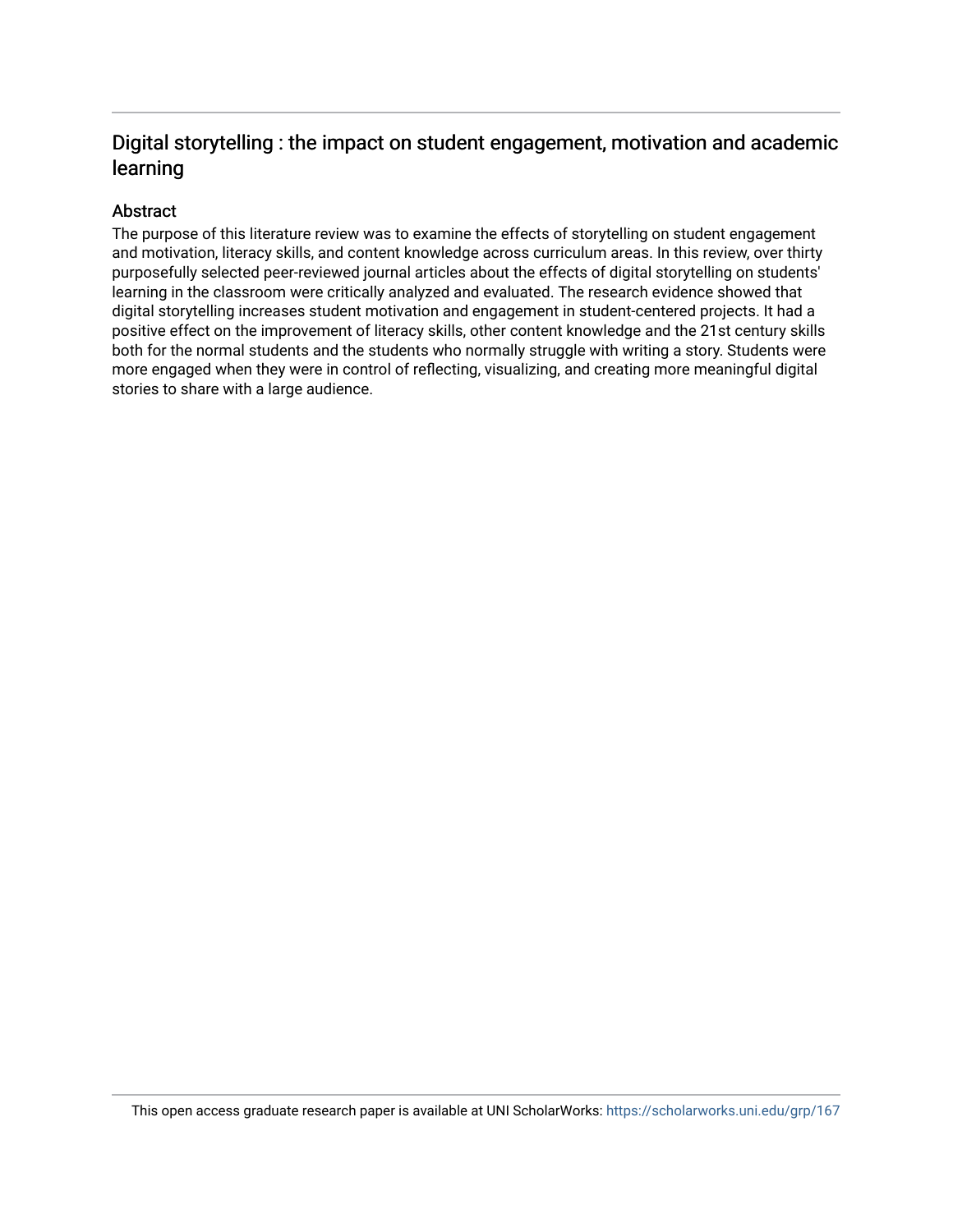## Digital storytelling : the impact on student engagement, motivation and academic learning

### Abstract

The purpose of this literature review was to examine the effects of storytelling on student engagement and motivation, literacy skills, and content knowledge across curriculum areas. In this review, over thirty purposefully selected peer-reviewed journal articles about the effects of digital storytelling on students' learning in the classroom were critically analyzed and evaluated. The research evidence showed that digital storytelling increases student motivation and engagement in student-centered projects. It had a positive effect on the improvement of literacy skills, other content knowledge and the 21st century skills both for the normal students and the students who normally struggle with writing a story. Students were more engaged when they were in control of reflecting, visualizing, and creating more meaningful digital stories to share with a large audience.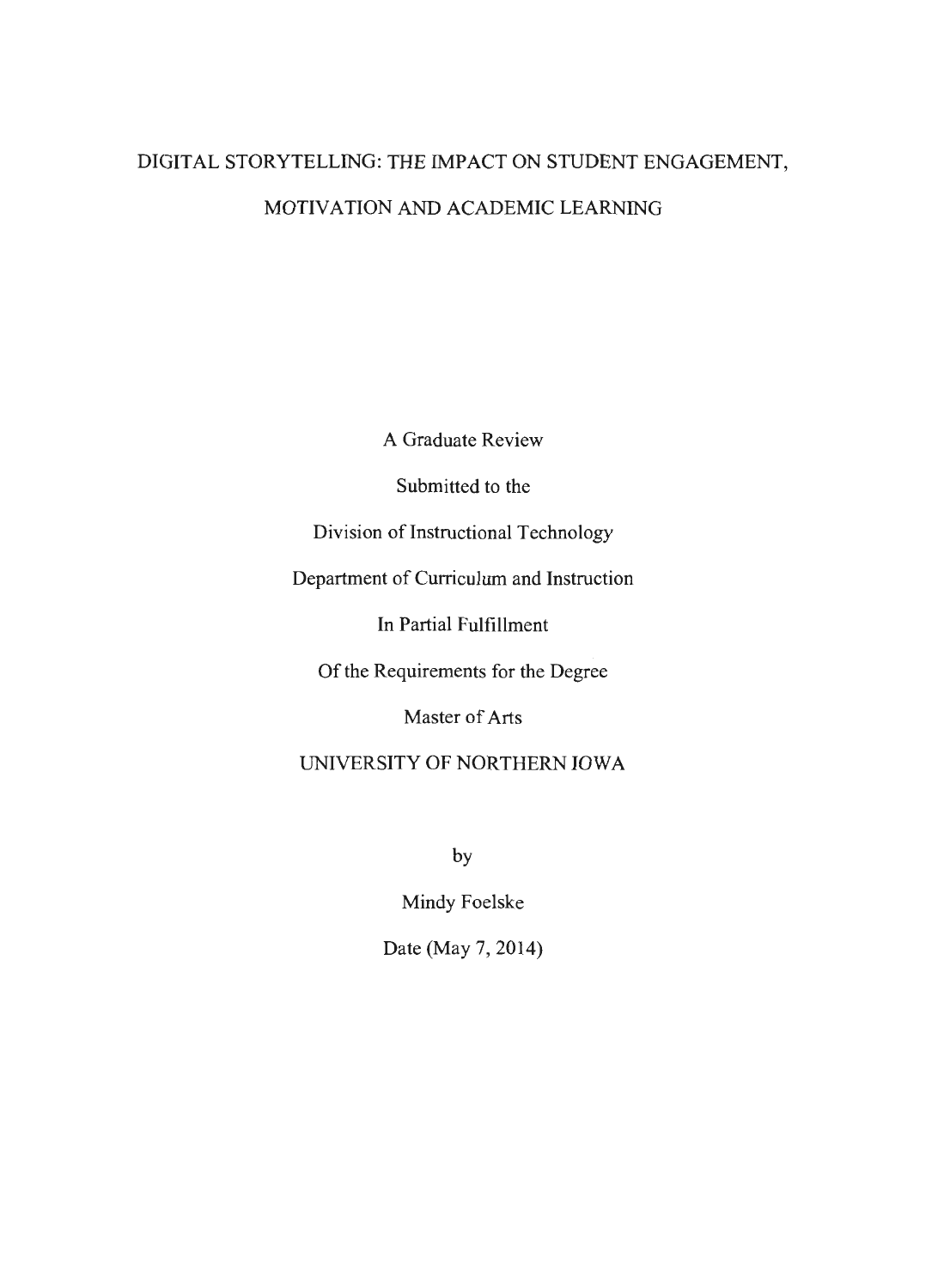# DIGIT AL STORYTELLING: THE IMPACT ON STUDENT ENGAGEMENT, MOTIVATION AND ACADEMIC LEARNING

A Graduate Review

Submitted to the

Division of Instructional Technology

Department of Curriculum and Instruction

In Partial Fulfillment

Of the Requirements for the Degree

Master of Arts

UNIVERSITY OF NORTHERN IOWA

by

Mindy Foelske

Date (May 7, 2014)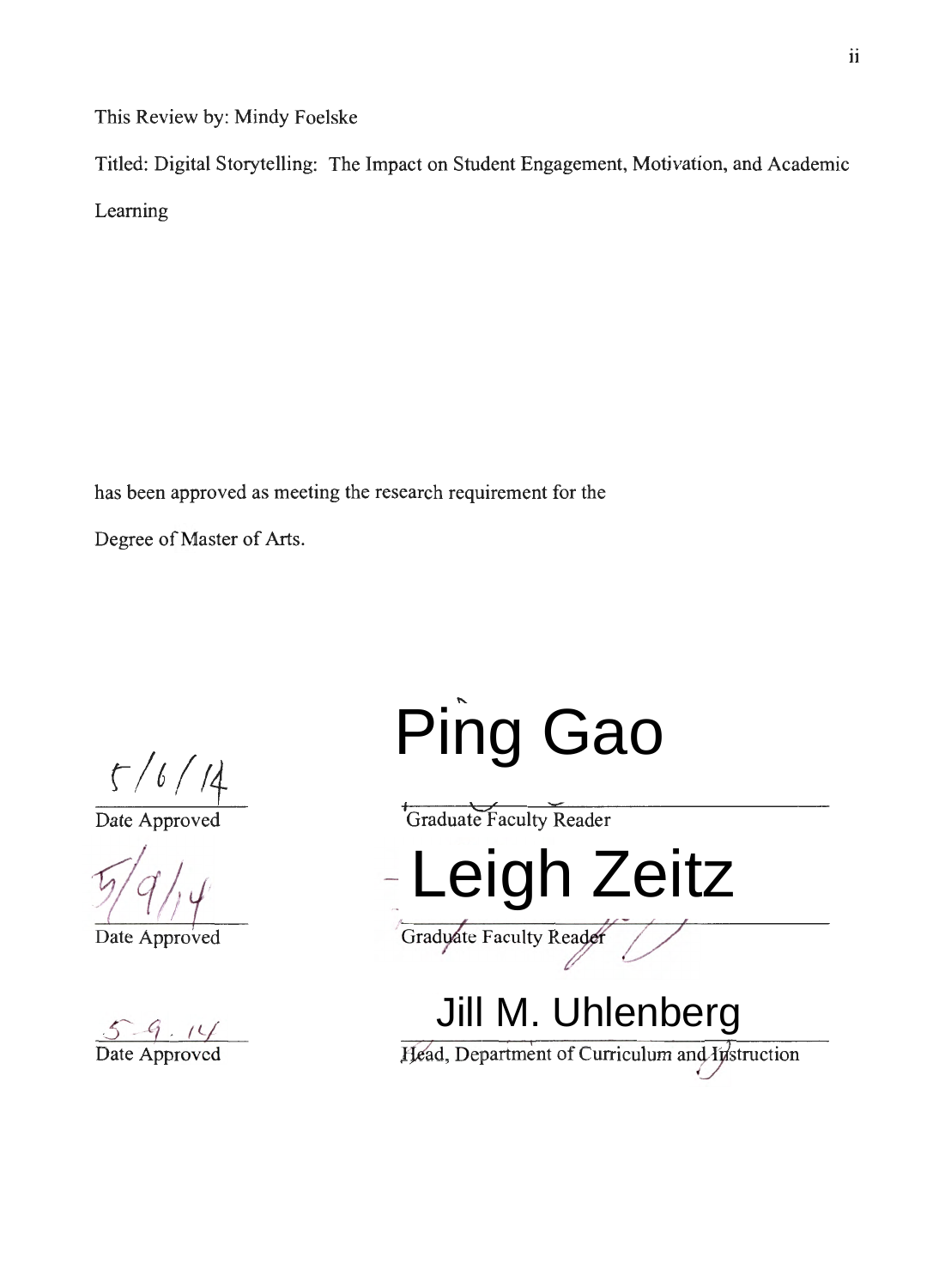This Review by: Mindy Foelske

Titled: Digital Storytelling: The Impact on Student Engagement, Motivation, and Academic Leaming

has been approved as meeting the research requirement for the

Degree of Master of Arts.

r */6 I* <sup>14</sup>

Date Approved

*§lq}* 

Date Approved

 $5 - 9 - 14$ Date Approved

Ping Gao<br>
TGraduate Faculty Reader<br>
Leigh Zeitz<br>
Gradyate Faculty Reader<br>
Jill M. Uhlenberg

Head, Department of Curriculum and Instruction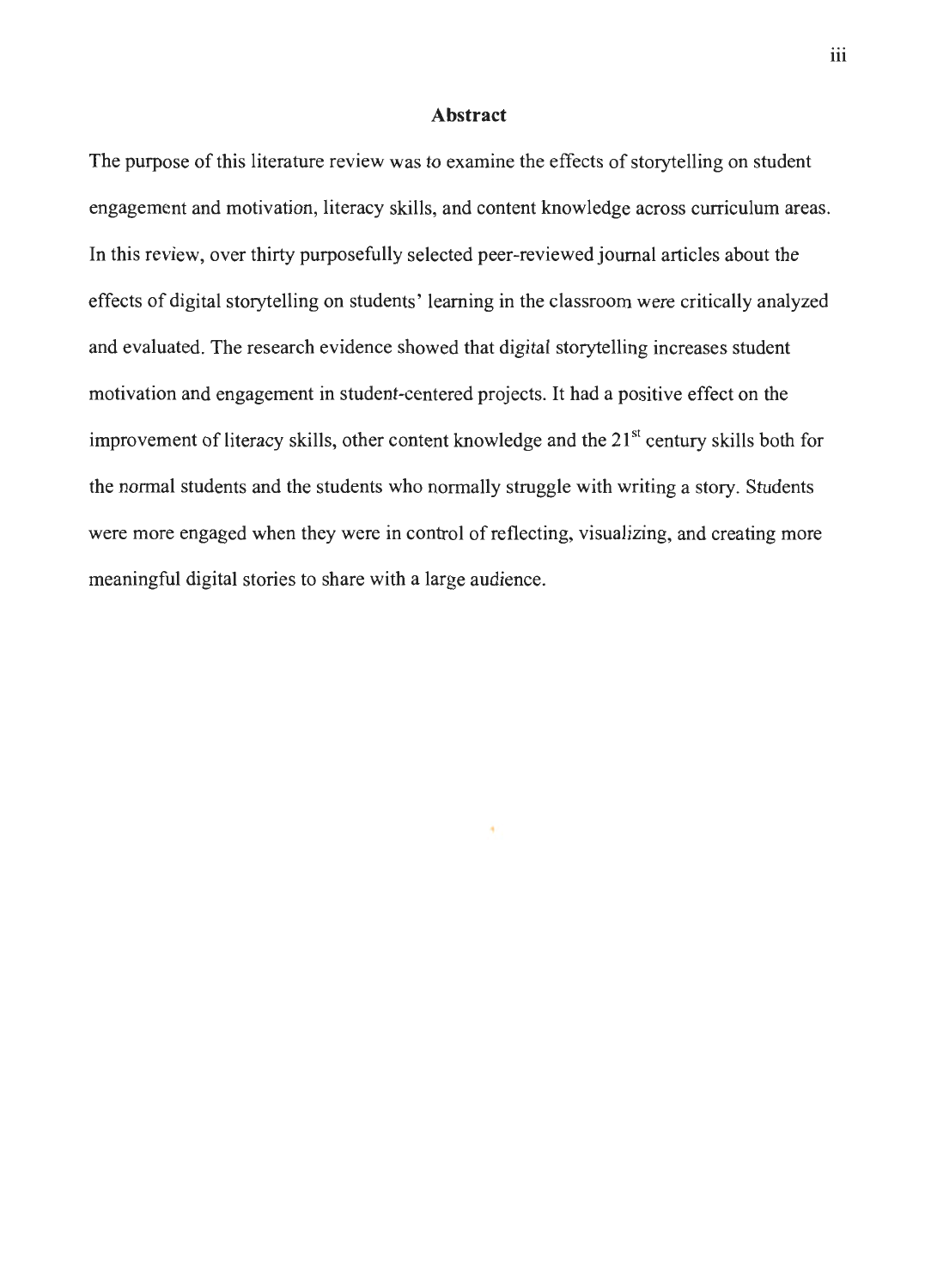#### **Abstract**

The purpose of this literature review was to examine the effects of storytelling on student engagement and motivation, literacy skills, and content knowledge across curriculum areas. In this review, over thirty purposefully selected peer-reviewed journal articles about the effects of digital storytelling on students' learning in the classroom were critically analyzed and evaluated. The research evidence showed that digital storytelling increases student motivation and engagement in student-centered projects. It had a positive effect on the improvement of literacy skills, other content knowledge and the  $21<sup>st</sup>$  century skills both for the normal students and the students who normally struggle with writing a story. Students were more engaged when they were in control of reflecting, visualizing, and creating more meaningful digital stories to share with a large audience.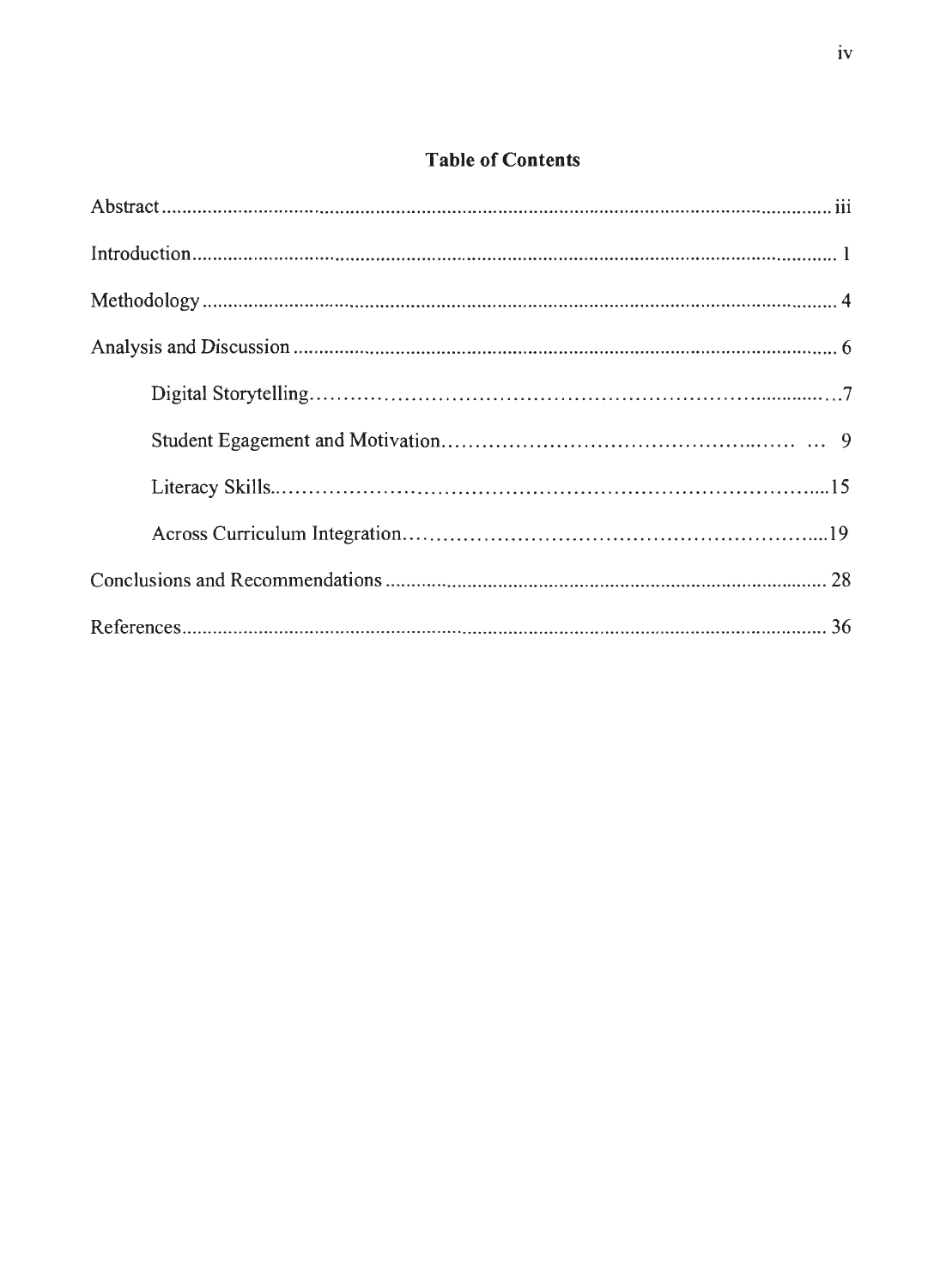## **Table of Contents**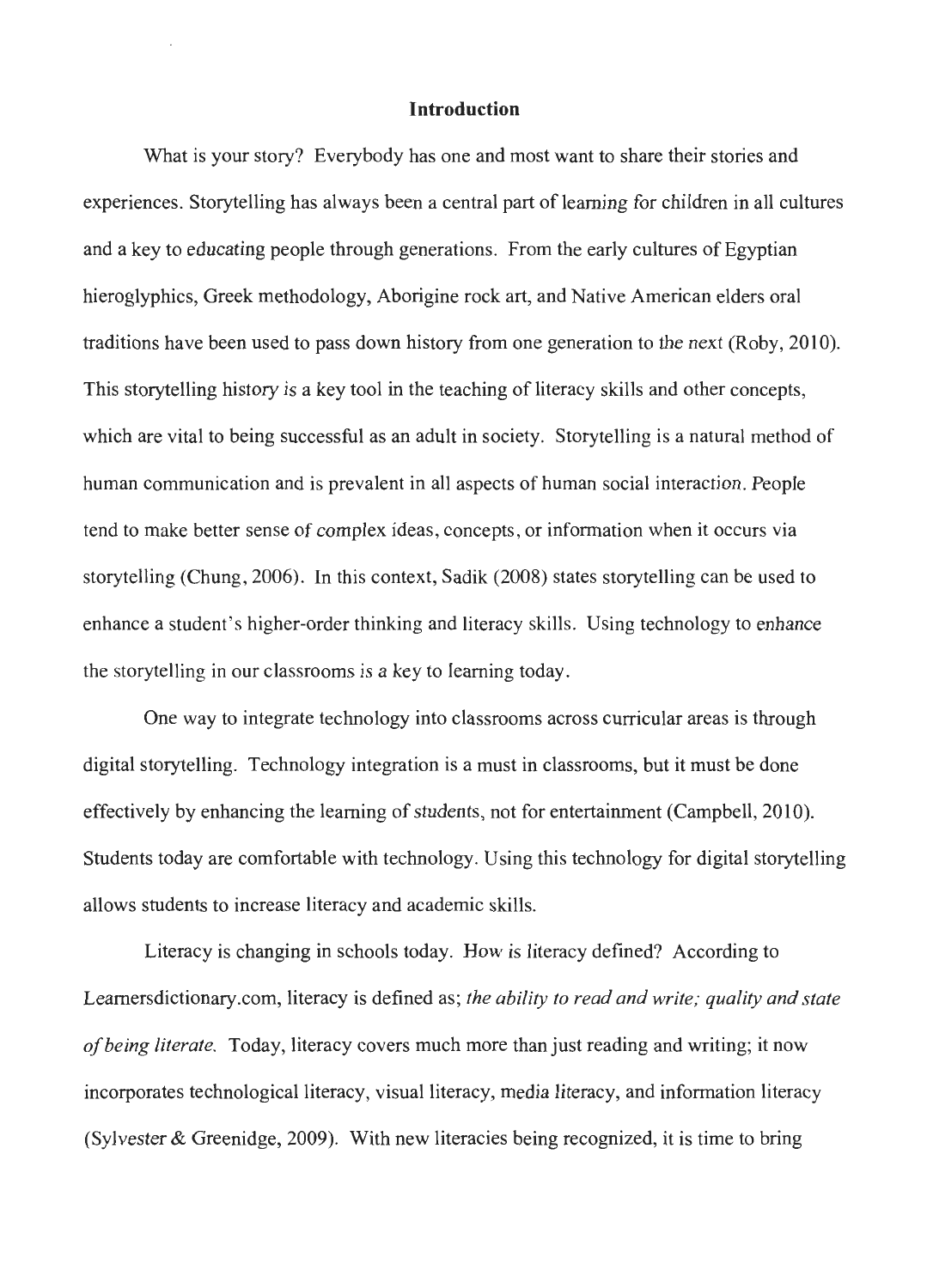#### **Introduction**

What is your story? Everybody has one and most want to share their stories and experiences. Storytelling has always been a central part of learning for children in all cultures and a key to educating people through generations. From the early cultures of Egyptian hieroglyphics, Greek methodology, Aborigine rock art, and Native American elders oral traditions have been used to pass down history from one generation to the next (Roby, 2010). This storytelling history is a key tool in the teaching of literacy skills and other concepts, which are vital to being successful as an adult in society. Storytelling is a natural method of human communication and is prevalent in all aspects of human social interaction. People tend to make better sense of complex ideas, concepts, or information when it occurs via storytelling (Chung, 2006). In this context, Sadik (2008) states storytelling can be used to enhance a student's higher-order thinking and literacy skills. Using technology to enhance the storytelling in our classrooms is a key to learning today.

One way to integrate technology into classrooms across curricular areas is through digital storytelling. Technology integration is a must in classrooms, but it must be done effectively by enhancing the learning of students, not for entertainment (Campbell, 2010). Students today are comfortable with technology. Using this technology for digital storytelling allows students to increase literacy and academic skills.

Literacy is changing in schools today. How is literacy defined? According to Learnersdictionary.com, literacy is defined as; *the ability to read and write; quality and state of being literate.* Today, literacy covers much more than just reading and writing; it now incorporates technological literacy, visual literacy, media literacy, and information literacy (Sylvester & Greenidge, 2009). With new literacies being recognized, it is time to bring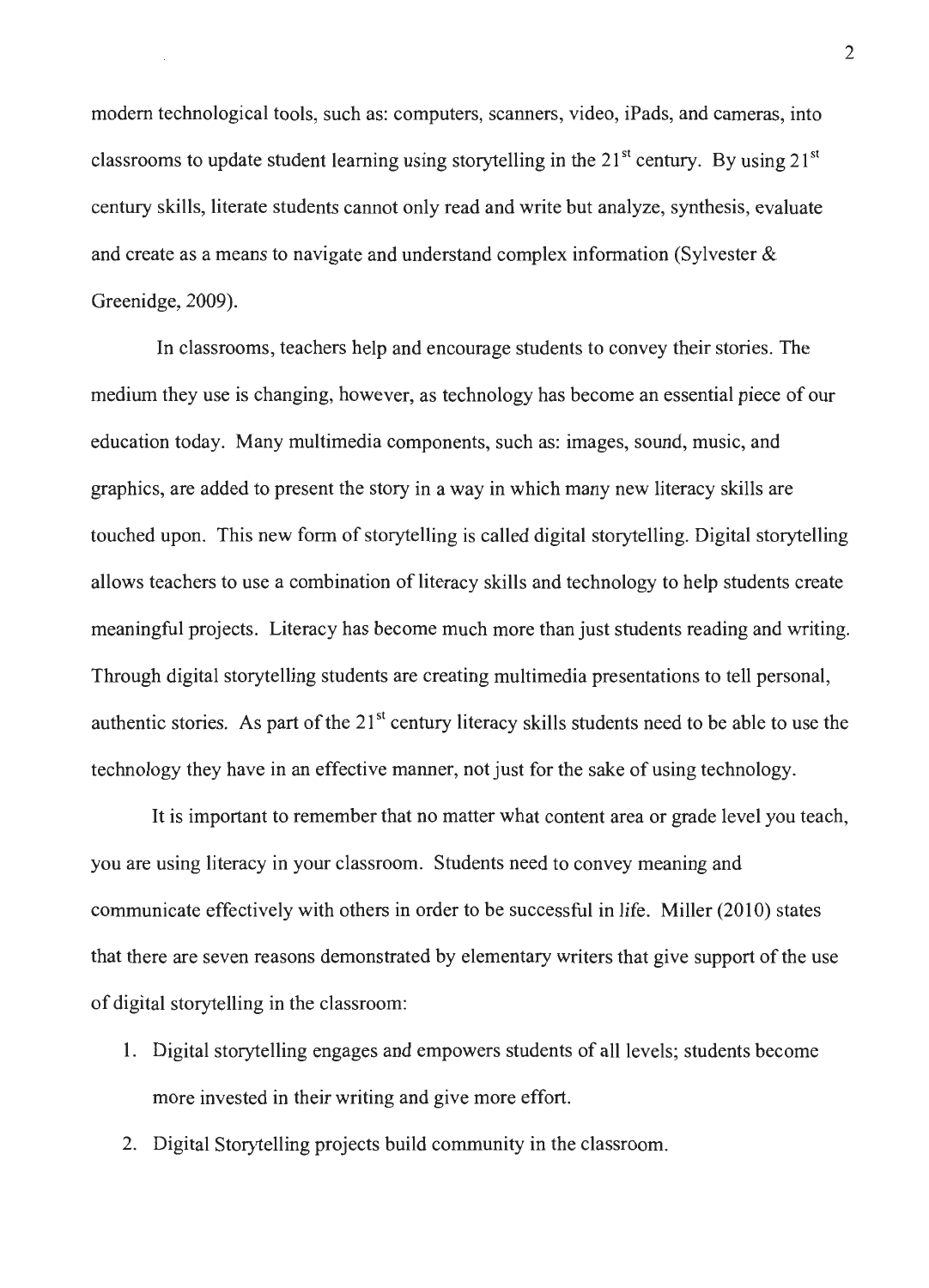modem technological tools, such as: computers, scanners, video, iPads, and cameras, into classrooms to update student learning using storytelling in the  $21<sup>st</sup>$  century. By using  $21<sup>st</sup>$ century skills, literate students cannot only read and write but analyze, synthesis, evaluate and create as a means to navigate and understand complex information (Sylvester & Greenidge, 2009).

In classrooms, teachers help and encourage students to convey their stories. The medium they use is changing, however, as technology has become an essential piece of our education today. Many multimedia components, such as: images, sound, music, and graphics, are added to present the story in a way in which many new literacy skills are touched upon. This new form of storytelling is called digital storytelling. Digital storytelling allows teachers to use a combination of literacy skills and technology to help students create meaningful projects. Literacy has become much more than just students reading and writing. Through digital storytelling students are creating multimedia presentations to tell personal, authentic stories. As part of the 21<sup>st</sup> century literacy skills students need to be able to use the technology they have in an effective manner, not just for the sake of using technology.

It is important to remember that no matter what content area or grade level you teach, you are using literacy in your classroom. Students need to convey meaning and communicate effectively with others in order to be successful in life. Miller (2010) states that there are seven reasons demonstrated by elementary writers that give support of the use of digital storytelling in the classroom:

- 1. Digital storytelling engages and empowers students of all levels; students become more invested in their writing and give more effort.
- 2. Digital Storytelling projects build community in the classroom.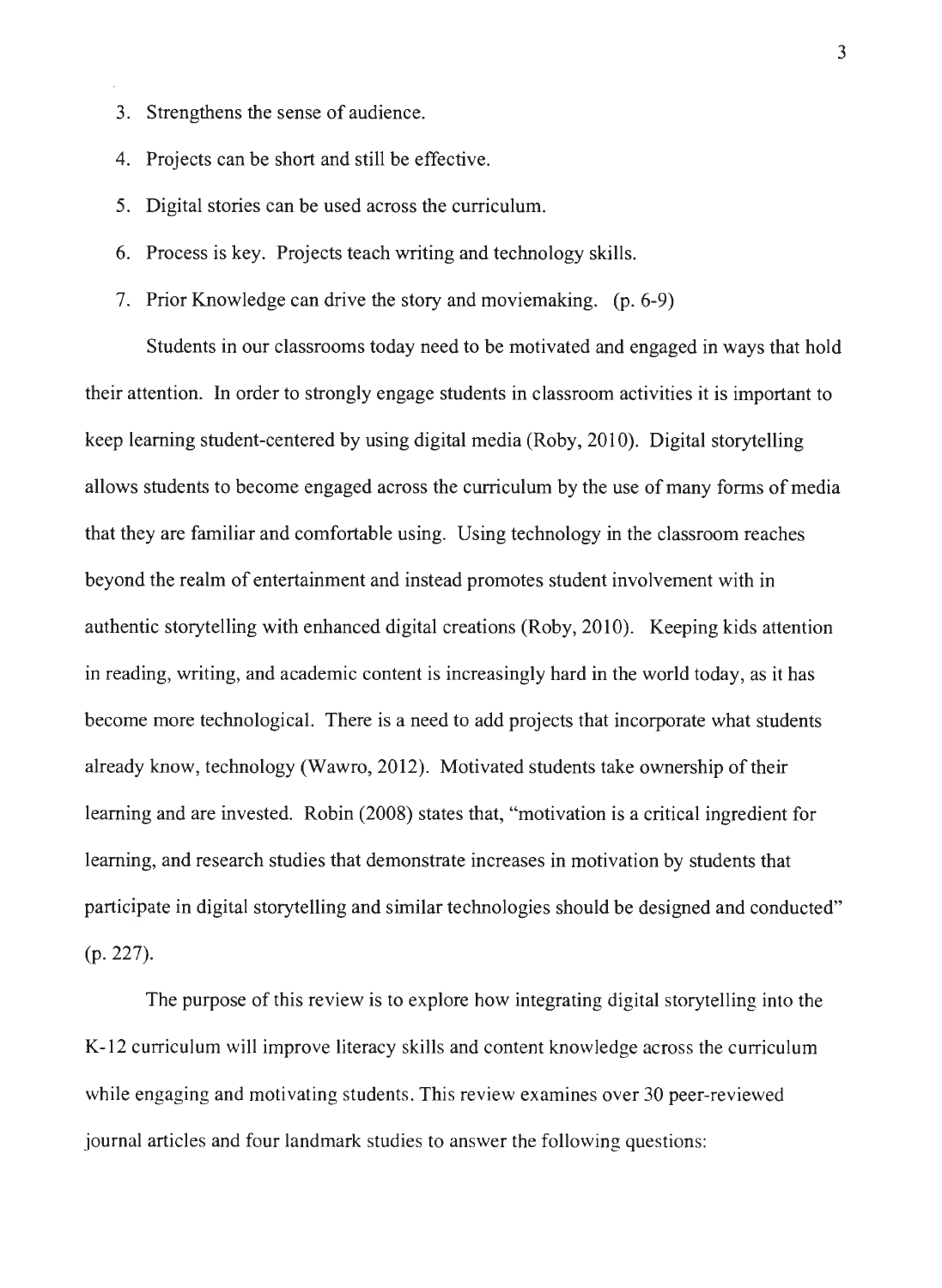- 3. Strengthens the sense of audience.
- 4. Projects can be short and still be effective.
- 5. Digital stories can be used across the curriculum.
- 6. Process is key. Projects teach writing and technology skills.
- 7. Prior Knowledge can drive the story and moviemaking. (p. 6-9)

Students in our classrooms today need to be motivated and engaged in ways that hold their attention. In order to strongly engage students in classroom activities it is important to keep learning student-centered by using digital media (Roby, 2010). Digital storytelling allows students to become engaged across the curriculum by the use of many forms of media that they are familiar and comfortable using. Using technology in the classroom reaches beyond the realm of entertainment and instead promotes student involvement with in authentic storytelling with enhanced digital creations (Roby, 2010). Keeping kids attention in reading, writing, and academic content is increasingly hard in the world today, as it has become more technological. There is a need to add projects that incorporate what students already know, technology (Wawro, 2012). Motivated students take ownership of their learning and are invested. Robin (2008) states that, "motivation is a critical ingredient for learning, and research studies that demonstrate increases in motivation by students that participate in digital storytelling and similar technologies should be designed and conducted" (p. 227).

The purpose of this review is to explore how integrating digital storytelling into the K-12 curriculum will improve literacy skills and content knowledge across the curriculum while engaging and motivating students. This review examines over 30 peer-reviewed journal articles and four landmark studies to answer the following questions: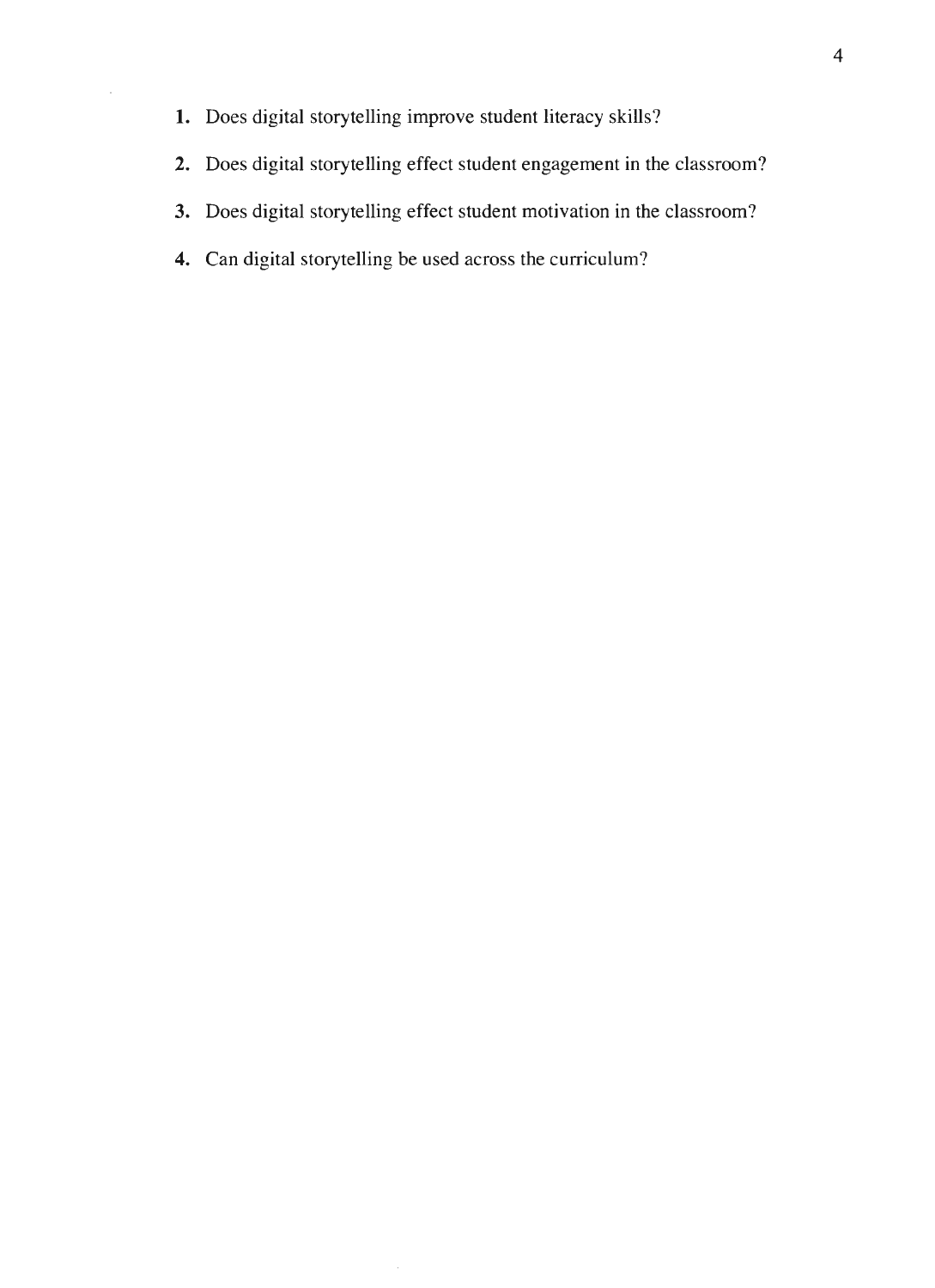- **1.** Does digital storytelling improve student literacy skills?
- **2.** Does digital storytelling effect student engagement in the classroom?
- **3.** Does digital storytelling effect student motivation in the classroom?
- **4.** Can digital storytelling be used across the curriculum?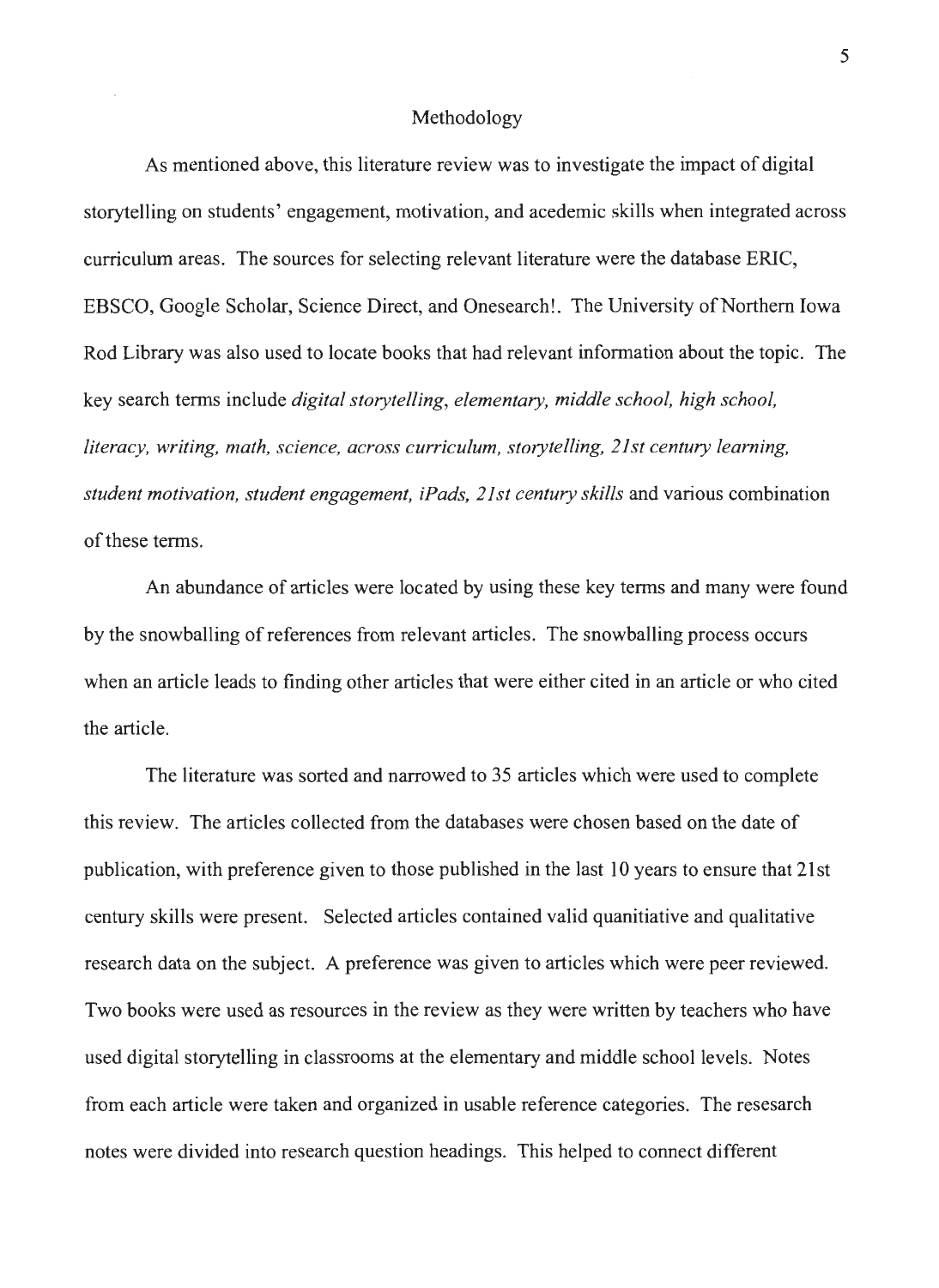#### Methodology

As mentioned above, this literature review was to investigate the impact of digital storytelling on students' engagement, motivation, and acedemic skills when integrated across curriculum areas. The sources for selecting relevant literature were the database ERIC, EBSCO, Google Scholar, Science Direct, and Onesearch!. The University of Northern Iowa Rod Library was also used to locate books that had relevant information about the topic. The key search terms include *digital storytelling, elementary, middle school, high school, literacy, writing, math, science, across curriculum, storytelling, 21st century learning, student motivation, student engagement, iPads, 21st century skills* and various combination of these terms.

An abundance of articles were located by using these key terms and many were found by the snowballing of references from relevant articles. The snowballing process occurs when an article leads to finding other articles that were either cited in an article or who cited the article.

The literature was sorted and narrowed to 35 articles which were used to complete this review. The articles collected from the databases were chosen based on the date of publication, with preference given to those published in the last 10 years to ensure that 21st century skills were present. Selected articles contained valid quanitiative and qualitative research data on the subject. A preference was given to articles which were peer reviewed. Two books were used as resources in the review as they were written by teachers who have used digital storytelling in classrooms at the elementary and middle school levels. Notes from each article were taken and organized in usable reference categories. The resesarch notes were divided into research question headings. This helped to connect different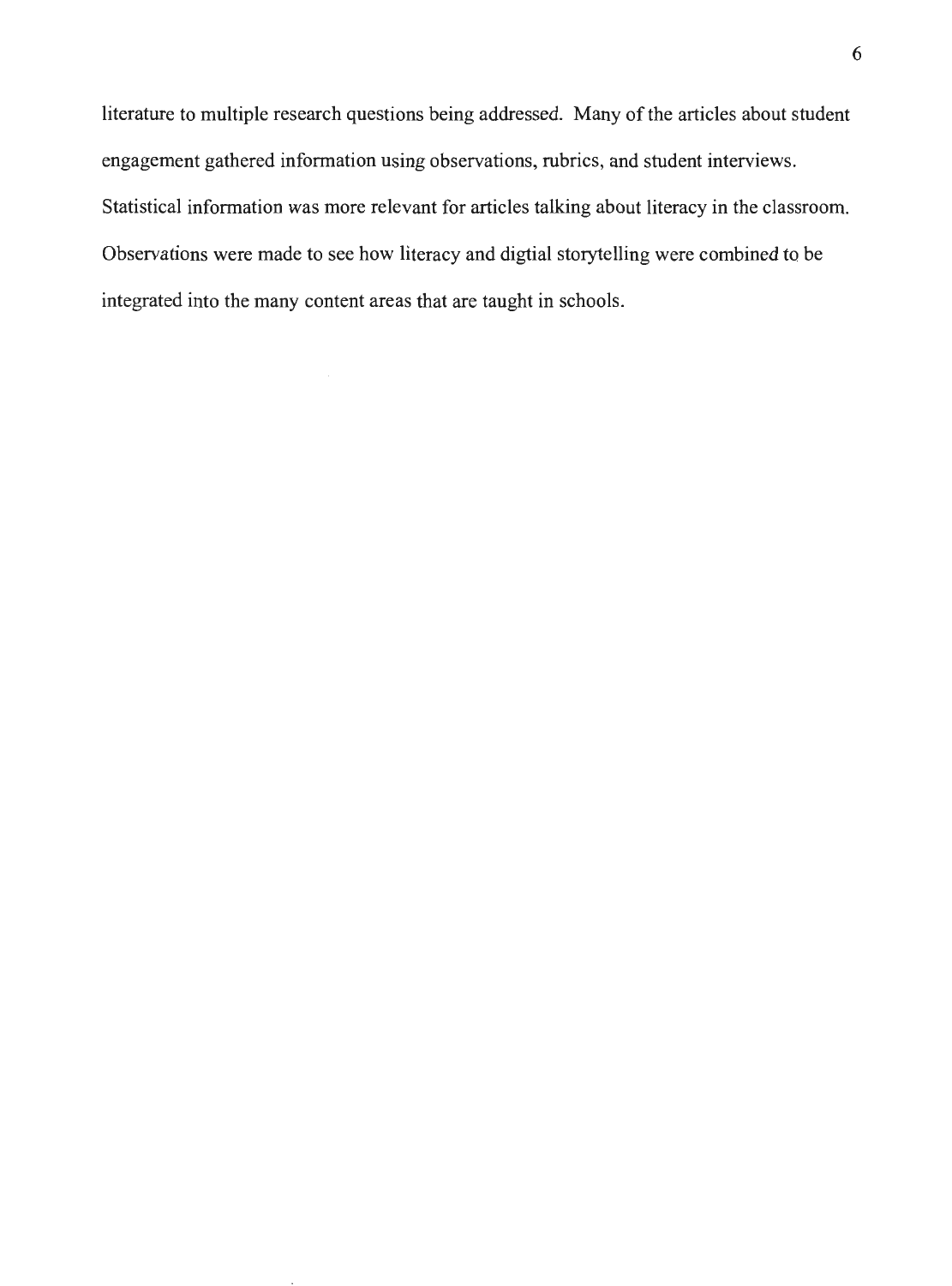literature to multiple research questions being addressed. Many of the articles about student engagement gathered information using observations, rubrics, and student interviews. Statistical information was more relevant for articles talking about literacy in the classroom. Observations were made to see how literacy and digtial storytelling were combined to be integrated into the many content areas that are taught in schools.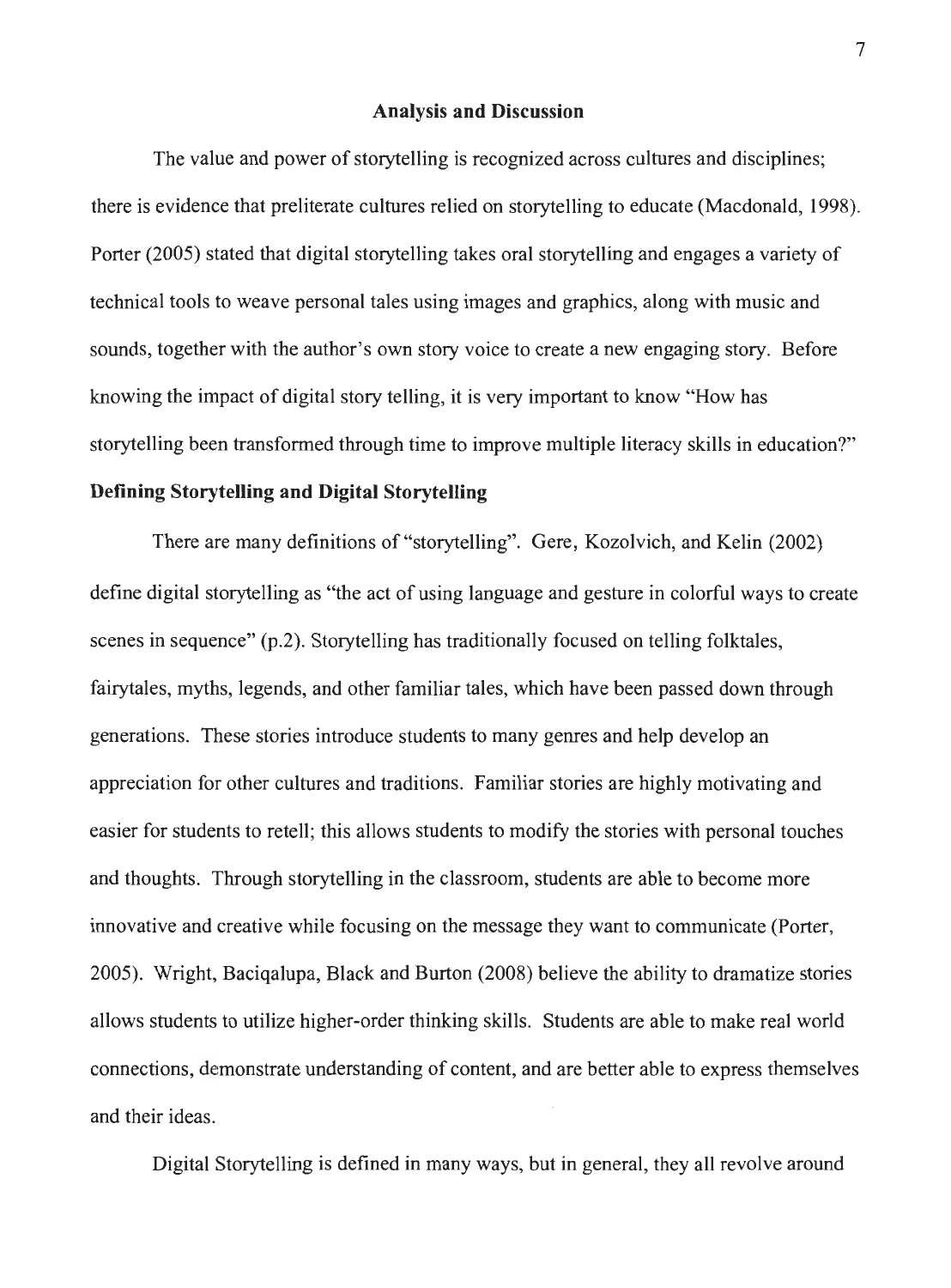#### **Analysis and Discussion**

The value and power of storytelling is recognized across cultures and disciplines; there is evidence that preliterate cultures relied on storytelling to educate (Macdonald, 1998). Porter (2005) stated that digital storytelling takes oral storytelling and engages a variety of technical tools to weave personal tales using images and graphics, along with music and sounds, together with the author's own story voice to create a new engaging story. Before knowing the impact of digital story telling, it is very important to know "How has storytelling been transformed through time to improve multiple literacy skills in education?"

#### **Defining Storytelling and Digital Storytelling**

There are many definitions of "storytelling". Gere, Kozolvich, and Kelin (2002) define digital storytelling as "the act of using language and gesture in colorful ways to create scenes in sequence" (p.2). Storytelling has traditionally focused on telling folktales, fairytales, myths, legends, and other familiar tales, which have been passed down through generations. These stories introduce students to many genres and help develop an appreciation for other cultures and traditions. Familiar stories are highly motivating and easier for students to retell; this allows students to modify the stories with personal touches and thoughts. Through storytelling in the classroom, students are able to become more innovative and creative while focusing on the message they want to communicate (Porter, 2005). Wright, Baciqalupa, Black and Burton (2008) believe the ability to dramatize stories allows students to utilize higher-order thinking skills. Students are able to make real world connections, demonstrate understanding of content, and are better able to express themselves and their ideas.

Digital Storytelling is defined in many ways, but in general, they all revolve around

7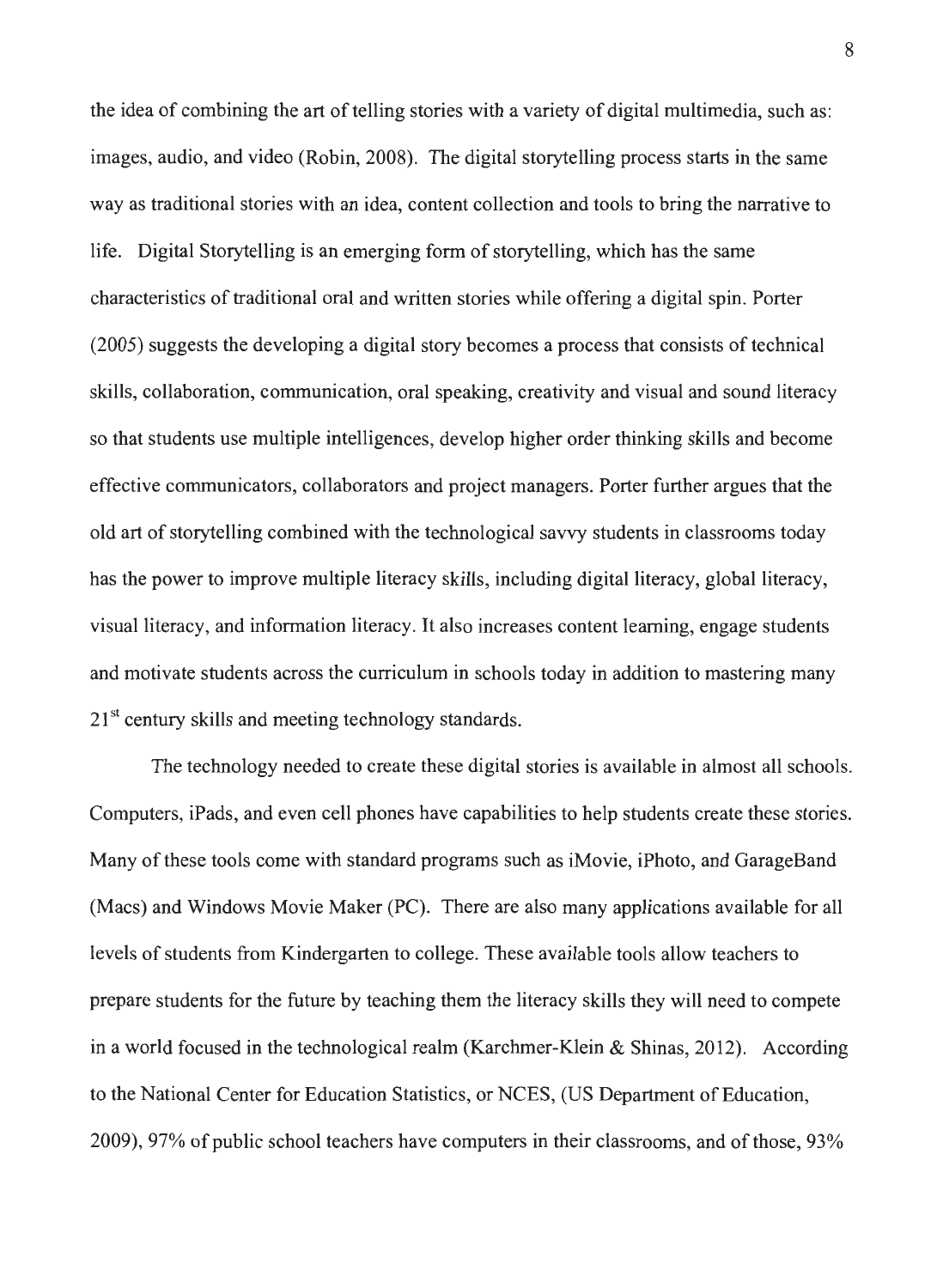the idea of combining the art of telling stories with a variety of digital multimedia, such as: images, audio, and video (Robin, 2008). The digital storytelling process starts in the same way as traditional stories with an idea, content collection and tools to bring the narrative to life. Digital Storytelling is an emerging form of storytelling, which has the same characteristics of traditional oral and written stories while offering a digital spin. Porter (2005) suggests the developing a digital story becomes a process that consists of technical skills, collaboration, communication, oral speaking, creativity and visual and sound literacy so that students use multiple intelligences, develop higher order thinking skills and become effective communicators, collaborators and project managers. Porter further argues that the old art of storytelling combined with the technological savvy students in classrooms today has the power to improve multiple literacy skills, including digital literacy, global literacy, visual literacy, and information literacy. It also increases content learning, engage students and motivate students across the curriculum in schools today in addition to mastering many  $21<sup>st</sup>$  century skills and meeting technology standards.

The technology needed to create these digital stories is available in almost all schools. Computers, iPads, and even cell phones have capabilities to help students create these stories. Many of these tools come with standard programs such as iMovie, iPhoto, and GarageBand (Macs) and Windows Movie Maker (PC). There are also many applications available for all levels of students from Kindergarten to college. These available tools allow teachers to prepare students for the future by teaching them the literacy skills they will need to compete in a world focused in the technological realm (Karchmer-Klein & Shinas, 2012). According to the National Center for Education Statistics, or NCES, (US Department of Education, 2009), 97% of public school teachers have computers in their classrooms, and of those, 93%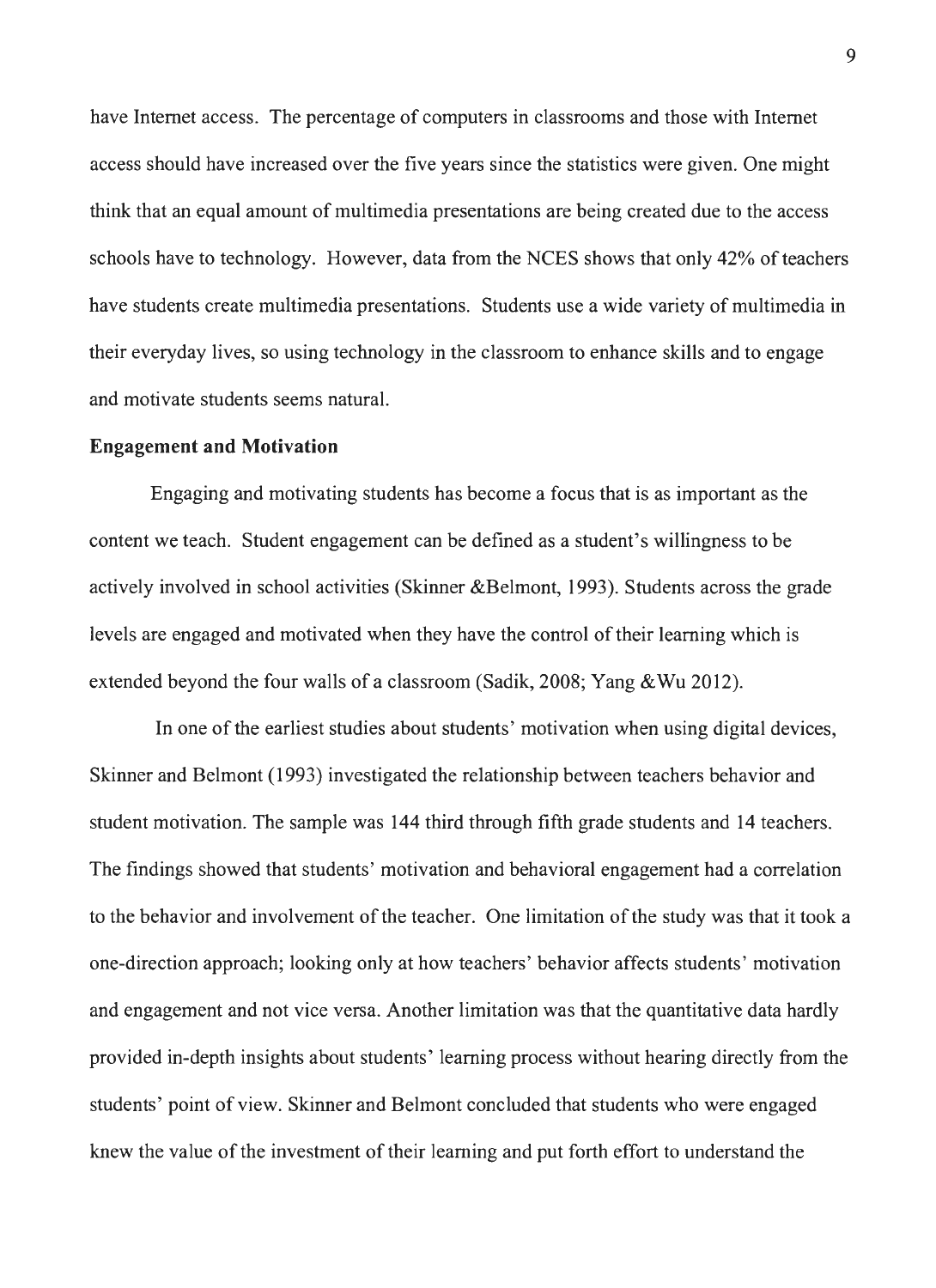have Internet access. The percentage of computers in classrooms and those with Internet access should have increased over the five years since the statistics were given. One might think that an equal amount of multimedia presentations are being created due to the access schools have to technology. However, data from the NCES shows that only 42% of teachers have students create multimedia presentations. Students use a wide variety of multimedia in their everyday lives, so using technology in the classroom to enhance skills and to engage and motivate students seems natural.

#### **Engagement and Motivation**

Engaging and motivating students has become a focus that is as important as the content we teach. Student engagement can be defined as a student's willingness to be actively involved in school activities (Skinner &Belmont, 1993). Students across the grade levels are engaged and motivated when they have the control of their learning which is extended beyond the four walls of a classroom (Sadik, 2008; Yang &Wu 2012).

In one of the earliest studies about students' motivation when using digital devices, Skinner and Belmont (1993) investigated the relationship between teachers behavior and student motivation. The sample was 144 third through fifth grade students and 14 teachers. The findings showed that students' motivation and behavioral engagement had a correlation to the behavior and involvement of the teacher. One limitation of the study was that it took a one-direction approach; looking only at how teachers' behavior affects students' motivation and engagement and not vice versa. Another limitation was that the quantitative data hardly provided in-depth insights about students' learning process without hearing directly from the students' point of view. Skinner and Belmont concluded that students who were engaged knew the value of the investment of their learning and put forth effort to understand the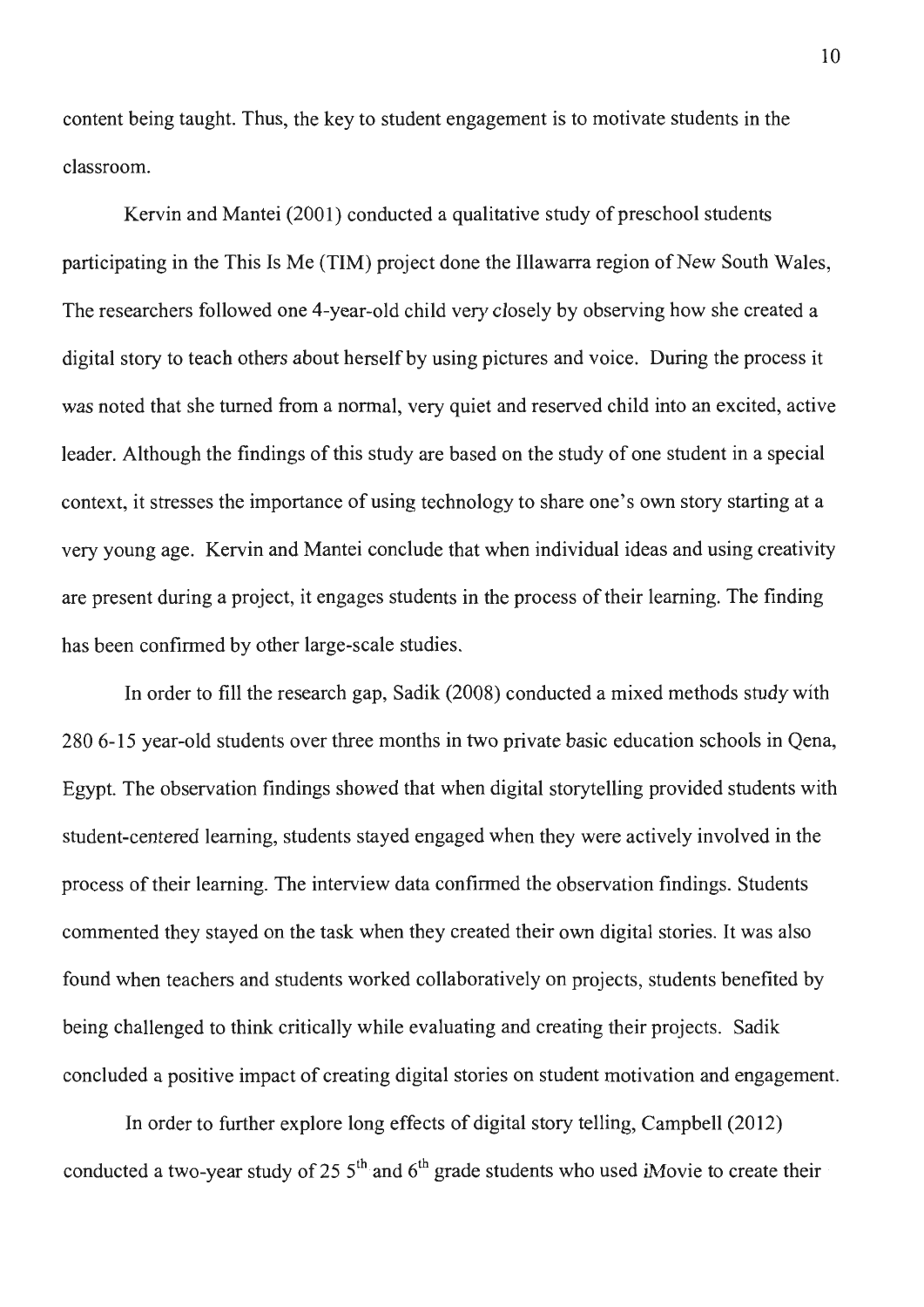content being taught. Thus, the key to student engagement is to motivate students in the classroom.

Kervin and Mantei (2001) conducted a qualitative study of preschool students participating in the This Is Me (TIM) project done the Illawarra region of New South Wales, The researchers followed one 4-year-old child very closely by observing how she created a digital story to teach others about herself by using pictures and voice. During the process it was noted that she turned from a normal, very quiet and reserved child into an excited, active leader. Although the findings of this study are based on the study of one student in a special context, it stresses the importance of using technology to share one's own story starting at a very young age. Kervin and Mantei conclude that when individual ideas and using creativity are present during a project, it engages students in the process of their learning. The finding has been confirmed by other large-scale studies.

In order to fill the research gap, Sadik (2008) conducted a mixed methods study with 280 6-15 year-old students over three months in two private basic education schools in Qena, Egypt. The observation findings showed that when digital storytelling provided students with student-centered learning, students stayed engaged when they were actively involved in the process of their learning. The interview data confirmed the observation findings. Students commented they stayed on the task when they created their own digital stories. It was also found when teachers and students worked collaboratively on projects, students benefited by being challenged to think critically while evaluating and creating their projects. Sadik concluded a positive impact of creating digital stories on student motivation and engagement.

In order to further explore long effects of digital story telling, Campbell (2012) conducted a two-year study of 25  $5<sup>th</sup>$  and  $6<sup>th</sup>$  grade students who used iMovie to create their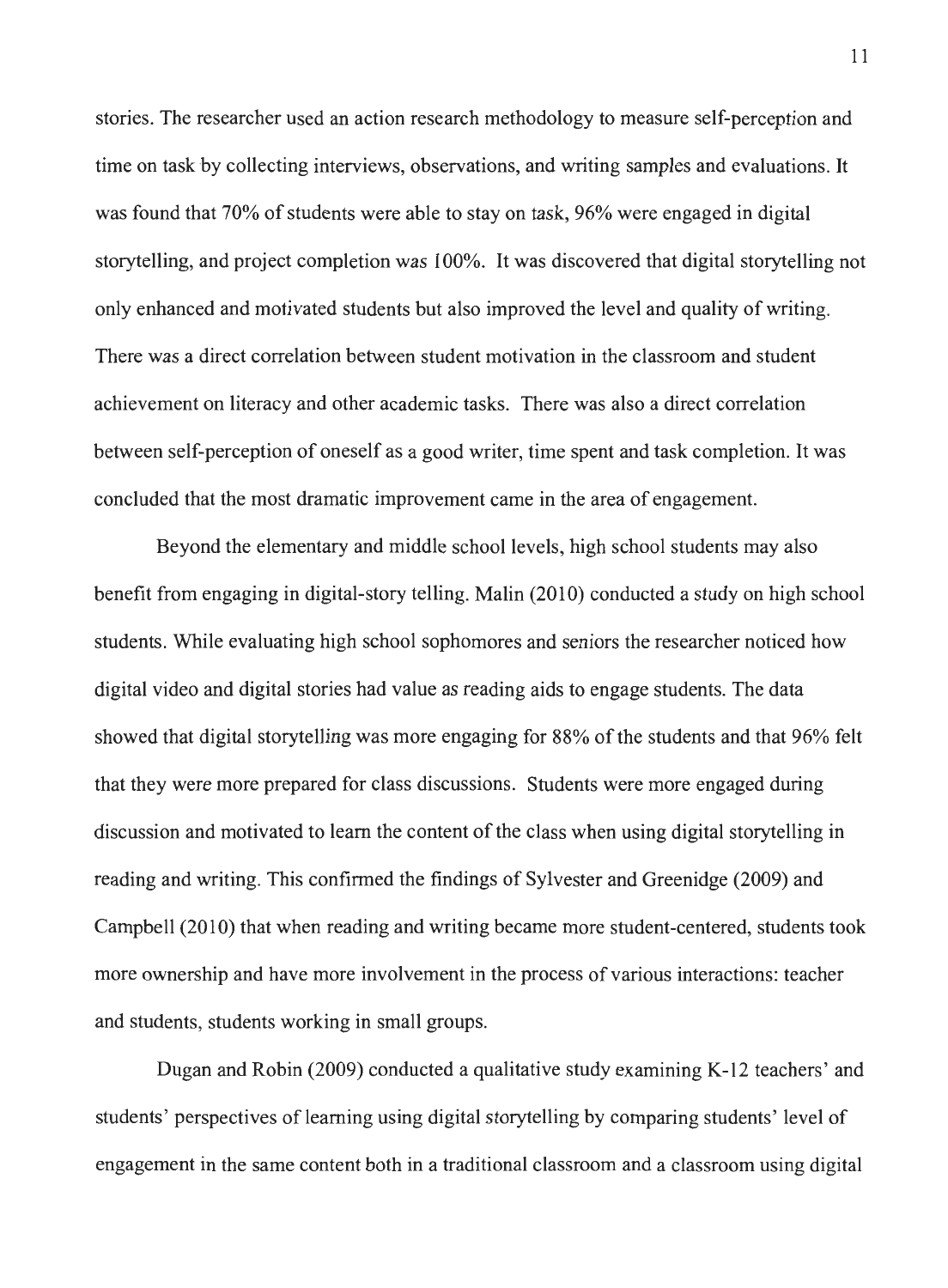stories. The researcher used an action research methodology to measure self-perception and time on task by collecting interviews, observations, and writing samples and evaluations. It was found that 70% of students were able to stay on task, 96% were engaged in digital storytelling, and project completion was 100%. It was discovered that digital storytelling not only enhanced and motivated students but also improved the level and quality of writing. There was a direct correlation between student motivation in the classroom and student achievement on literacy and other academic tasks. There was also a direct correlation between self-perception of oneself as a good writer, time spent and task completion. It was concluded that the most dramatic improvement came in the area of engagement.

Beyond the elementary and middle school levels, high school students may also benefit from engaging in digital-story telling. Malin (2010) conducted a study on high school students. While evaluating high school sophomores and seniors the researcher noticed how digital video and digital stories had value as reading aids to engage students. The data showed that digital storytelling was more engaging for 88% of the students and that 96% felt that they were more prepared for class discussions. Students were more engaged during discussion and motivated to learn the content of the class when using digital storytelling in reading and writing. This confirmed the findings of Sylvester and Greenidge (2009) and Campbell (2010) that when reading and writing became more student-centered, students took more ownership and have more involvement in the process of various interactions: teacher and students, students working in small groups.

Dugan and Robin (2009) conducted a qualitative study examining K-12 teachers' and students' perspectives of learning using digital storytelling by comparing students' level of engagement in the same content both in a traditional classroom and a classroom using digital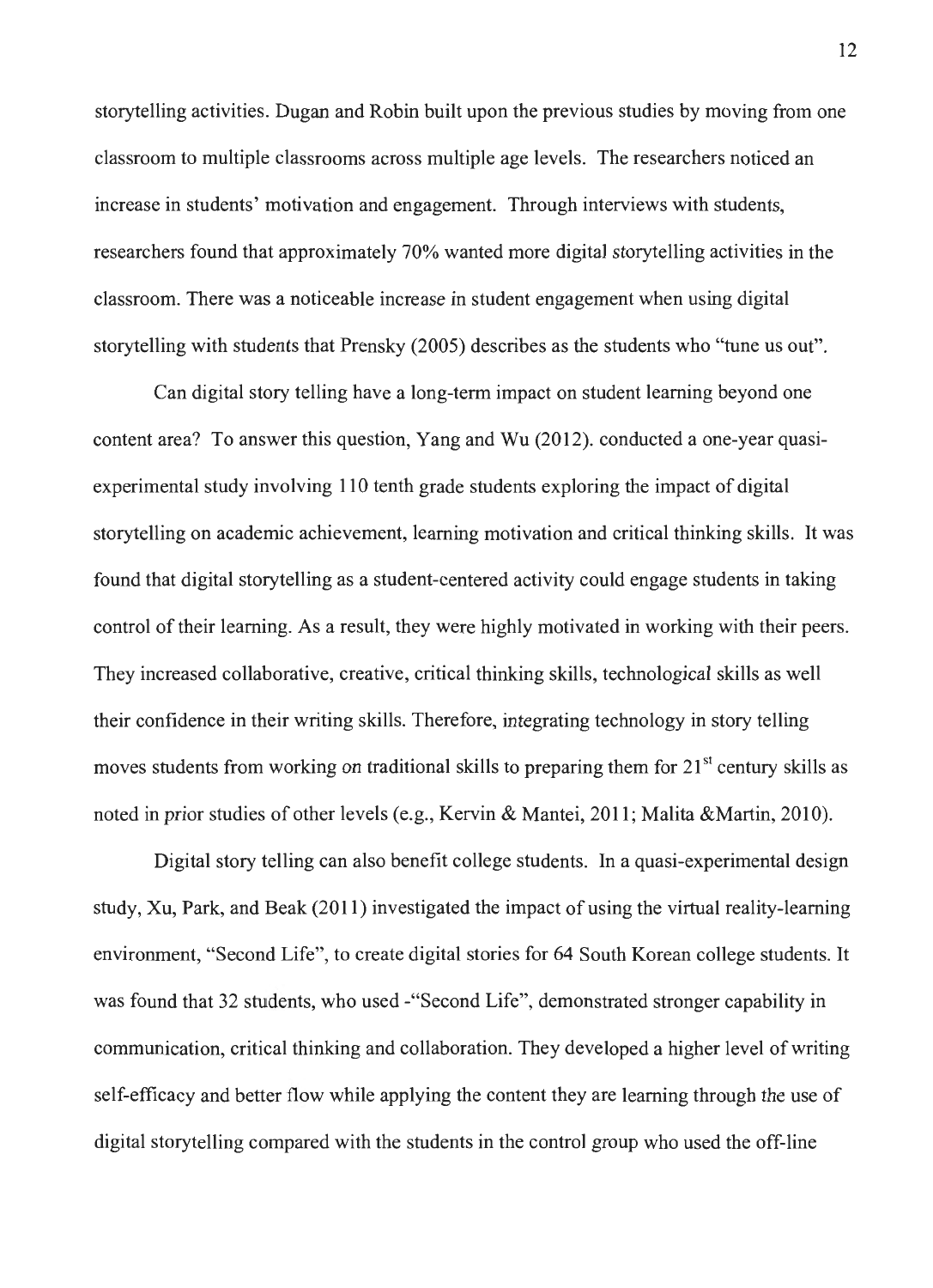storytelling activities. Dugan and Robin built upon the previous studies by moving from one classroom to multiple classrooms across multiple age levels. The researchers noticed an increase in students' motivation and engagement. Through interviews with students, researchers found that approximately 70% wanted more digital storytelling activities in the classroom. There was a noticeable increase in student engagement when using digital storytelling with students that Prensky (2005) describes as the students who "tune us out".

Can digital story telling have a long-term impact on student learning beyond one content area? To answer this question, Yang and Wu (2012). conducted a one-year quasiexperimental study involving 110 tenth grade students exploring the impact of digital storytelling on academic achievement, learning motivation and critical thinking skills. It was found that digital storytelling as a student-centered activity could engage students in taking control of their learning. As a result, they were highly motivated in working with their peers. They increased collaborative, creative, critical thinking skills, technological skills as well their confidence in their writing skills. Therefore, integrating technology in story telling moves students from working on traditional skills to preparing them for  $21<sup>st</sup>$  century skills as noted in prior studies of other levels (e.g., Kervin & Mantei, 2011; Malita & Martin, 2010).

Digital story telling can also benefit college students. In a quasi-experimental design study, Xu, Park, and Beak (2011) investigated the impact of using the virtual reality-learning environment, "Second Life", to create digital stories for 64 South Korean college students. It was found that 32 students, who used -"Second Life", demonstrated stronger capability in communication, critical thinking and collaboration. They developed a higher level of writing self-efficacy and better flow while applying the content they are learning through the use of digital storytelling compared with the students in the control group who used the off-line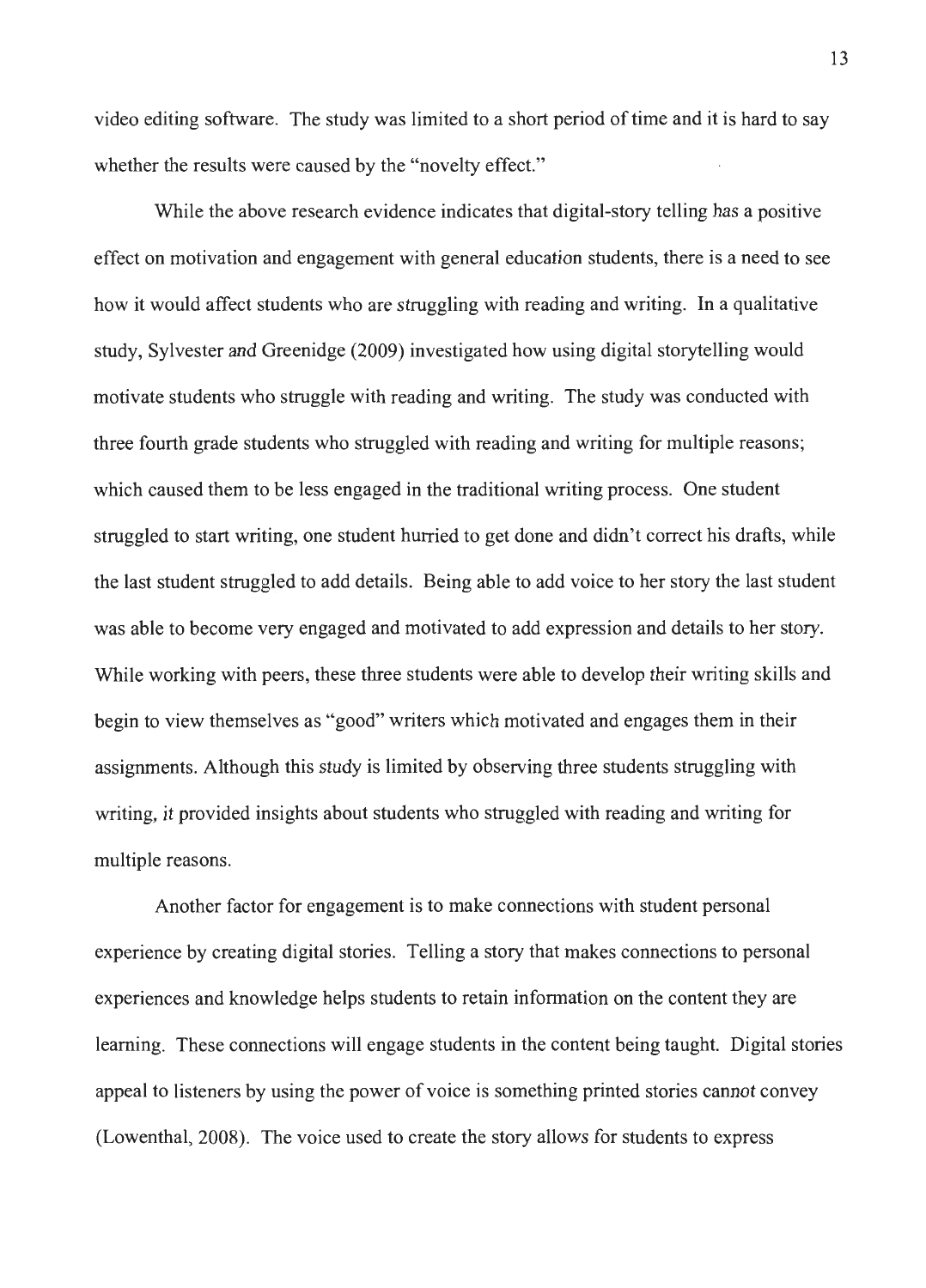video editing software. The study was limited to a short period of time and it is hard to say whether the results were caused by the "novelty effect."

While the above research evidence indicates that digital-story telling has a positive effect on motivation and engagement with general education students, there is a need to see how it would affect students who are struggling with reading and writing. In a qualitative study, Sylvester and Greenidge (2009) investigated how using digital storytelling would motivate students who struggle with reading and writing. The study was conducted with three fourth grade students who struggled with reading and writing for multiple reasons; which caused them to be less engaged in the traditional writing process. One student struggled to start writing, one student hurried to get done and didn't correct his drafts, while the last student struggled to add details. Being able to add voice to her story the last student was able to become very engaged and motivated to add expression and details to her story. While working with peers, these three students were able to develop their writing skills and begin to view themselves as "good" writers which motivated and engages them in their assignments. Although this study is limited by observing three students struggling with writing, it provided insights about students who struggled with reading and writing for multiple reasons.

Another factor for engagement is to make connections with student personal experience by creating digital stories. Telling a story that makes connections to personal experiences and knowledge helps students to retain information on the content they are learning. These connections will engage students in the content being taught. Digital stories appeal to listeners by using the power of voice is something printed stories cannot convey (Lowenthal, 2008). The voice used to create the story allows for students to express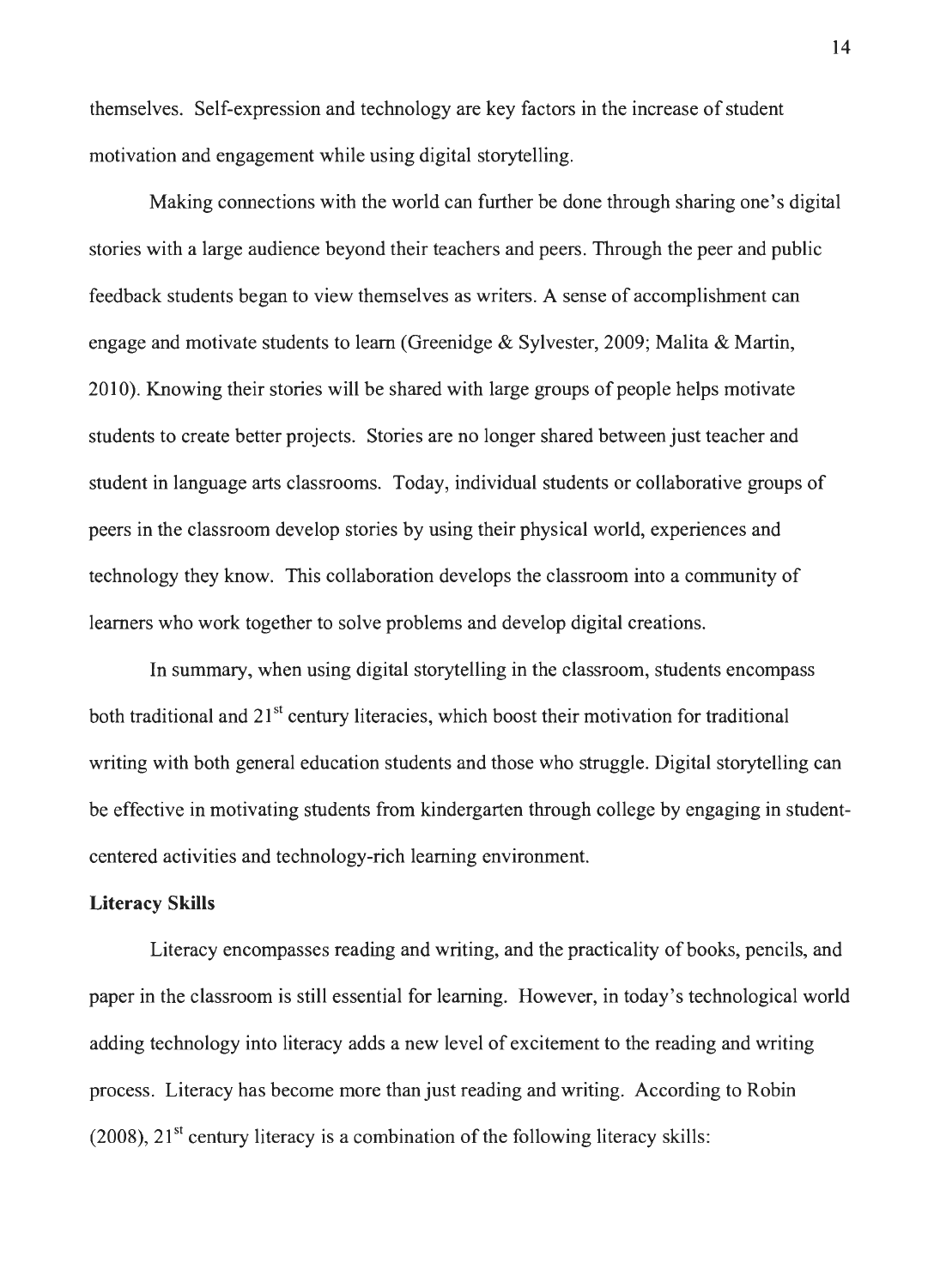themselves. Self-expression and technology are key factors in the increase of student motivation and engagement while using digital storytelling.

Making connections with the world can further be done through sharing one's digital stories with a large audience beyond their teachers and peers. Through the peer and public feedback students began to view themselves as writers. A sense of accomplishment can engage and motivate students to learn (Greenidge & Sylvester, 2009; Malita & Martin, 2010). Knowing their stories will be shared with large groups of people helps motivate students to create better projects. Stories are no longer shared between just teacher and student in language arts classrooms. Today, individual students or collaborative groups of peers in the classroom develop stories by using their physical world, experiences and technology they know. This collaboration develops the classroom into a community of learners who work together to solve problems and develop digital creations.

In summary, when using digital storytelling in the classroom, students encompass both traditional and  $21<sup>st</sup>$  century literacies, which boost their motivation for traditional writing with both general education students and those who struggle. Digital storytelling can be effective in motivating students from kindergarten through college by engaging in studentcentered activities and technology-rich learning environment.

### **Literacy Skills**

Literacy encompasses reading and writing, and the practicality of books, pencils, and paper in the classroom is still essential for learning. However, in today's technological world adding technology into literacy adds a new level of excitement to the reading and writing process. Literacy has become more than just reading and writing. According to Robin (2008),  $21<sup>st</sup>$  century literacy is a combination of the following literacy skills: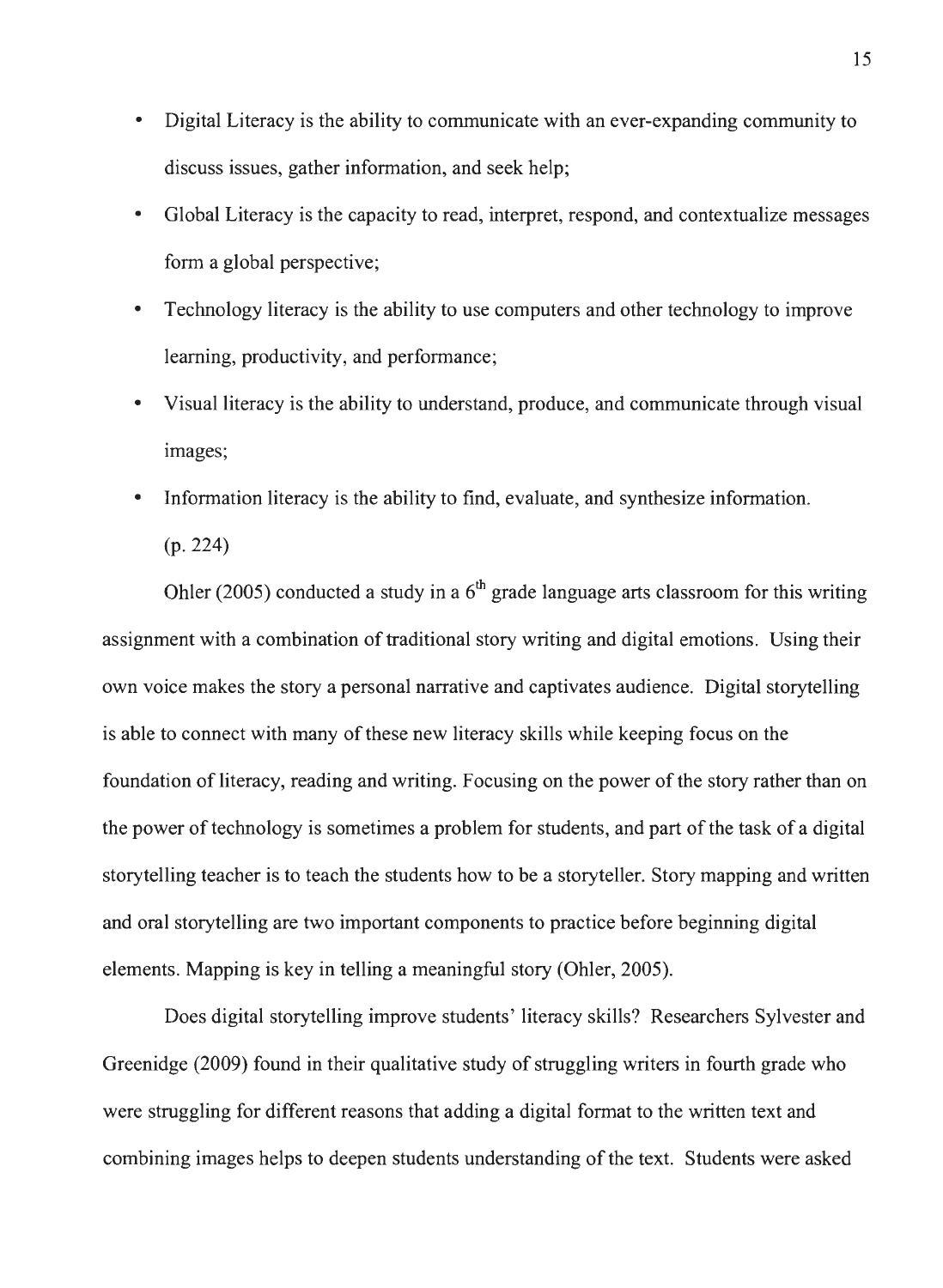- Digital Literacy is the ability to communicate with an ever-expanding community to discuss issues, gather information, and seek help;
- Global Literacy is the capacity to read, interpret, respond, and contextualize messages form a global perspective;
- Technology literacy is the ability to use computers and other technology to improve learning, productivity, and performance;
- Visual literacy is the ability to understand, produce, and communicate through visual images;
- Information literacy is the ability to find, evaluate, and synthesize information. (p. 224)

Ohler (2005) conducted a study in a  $6<sup>th</sup>$  grade language arts classroom for this writing assignment with a combination of traditional story writing and digital emotions. Using their own voice makes the story a personal narrative and captivates audience. Digital storytelling is able to connect with many of these new literacy skills while keeping focus on the foundation of literacy, reading and writing. Focusing on the power of the story rather than on the power of technology is sometimes a problem for students, and part of the task of a digital storytelling teacher is to teach the students how to be a storyteller. Story mapping and written and oral storytelling are two important components to practice before beginning digital elements. Mapping is key in telling a meaningful story (Ohler, 2005).

Does digital storytelling improve students' literacy skills? Researchers Sylvester and Greenidge (2009) found in their qualitative study of struggling writers in fourth grade who were struggling for different reasons that adding a digital format to the written text and combining images helps to deepen students understanding of the text. Students were asked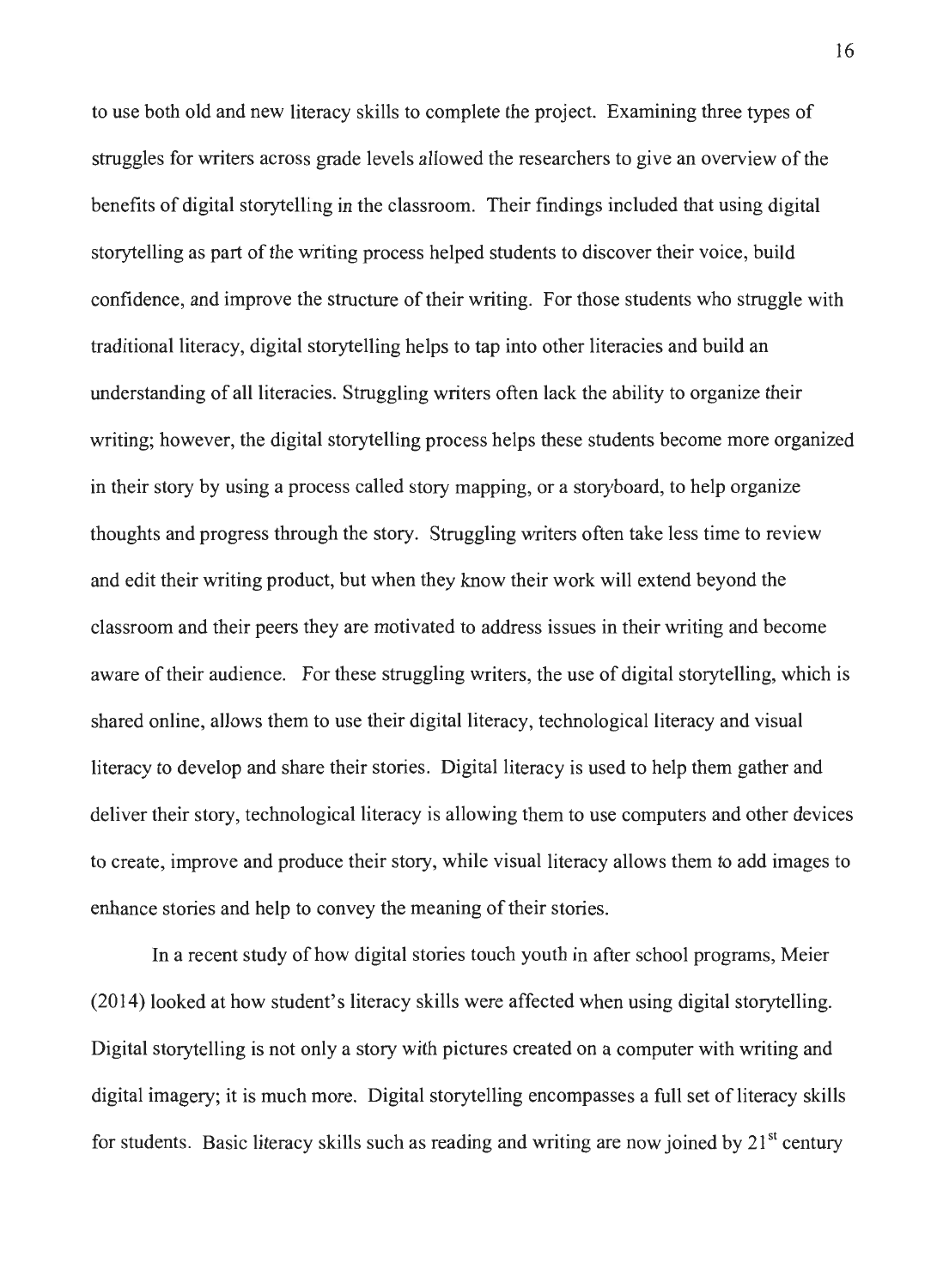to use both old and new literacy skills to complete the project. Examining three types of struggles for writers across grade levels allowed the researchers to give an overview of the benefits of digital storytelling in the classroom. Their findings included that using digital storytelling as part of the writing process helped students to discover their voice, build confidence, and improve the structure of their writing. For those students who struggle with traditional literacy, digital storytelling helps to tap into other literacies and build an understanding of all literacies. Struggling writers often lack the ability to organize their writing; however, the digital storytelling process helps these students become more organized in their story by using a process called story mapping, or a storyboard, to help organize thoughts and progress through the story. Struggling writers often take less time to review and edit their writing product, but when they know their work will extend beyond the classroom and their peers they are motivated to address issues in their writing and become aware of their audience. For these struggling writers, the use of digital storytelling, which is shared online, allows them to use their digital literacy, technological literacy and visual literacy to develop and share their stories. Digital literacy is used to help them gather and deliver their story, technological literacy is allowing them to use computers and other devices to create, improve and produce their story, while visual literacy allows them to add images to enhance stories and help to convey the meaning of their stories.

In a recent study of how digital stories touch youth in after school programs, Meier (2014) looked at how student's literacy skills were affected when using digital storytelling. Digital storytelling is not only a story with pictures created on a computer with writing and digital imagery; it is much more. Digital storytelling encompasses a full set of literacy skills for students. Basic literacy skills such as reading and writing are now joined by  $21<sup>st</sup>$  century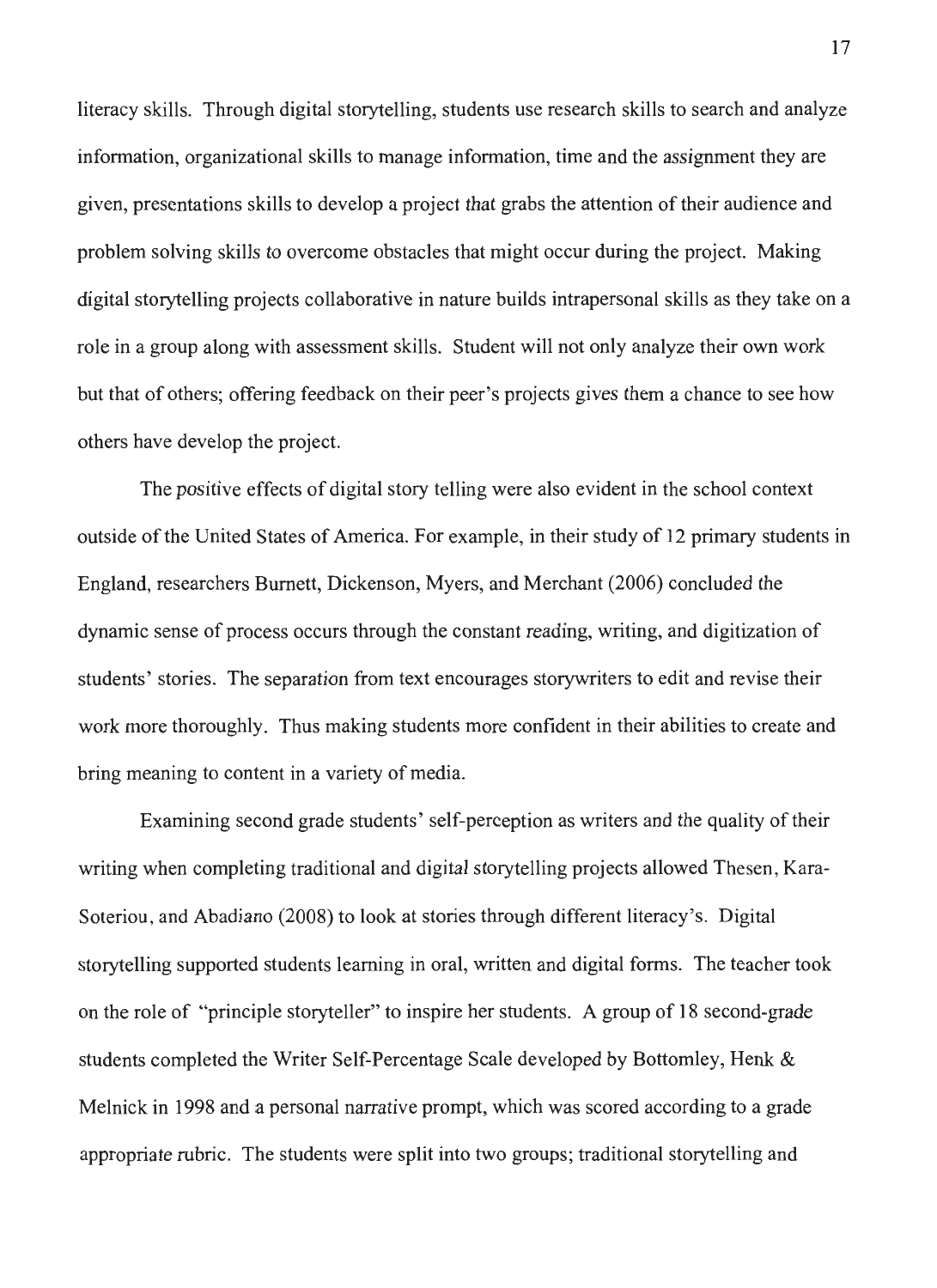literacy skills. Through digital storytelling, students use research skills to search and analyze information, organizational skills to manage information, time and the assignment they are given, presentations skills to develop a project that grabs the attention of their audience and problem solving skills to overcome obstacles that might occur during the project. Making digital storytelling projects collaborative in nature builds intrapersonal skills as they take on a role in a group along with assessment skills. Student will not only analyze their own work but that of others; offering feedback on their peer's projects gives them a chance to see how others have develop the project.

The positive effects of digital story telling were also evident in the school context outside of the United States of America. For example, in their study of 12 primary students in England, researchers Burnett, Dickenson, Myers, and Merchant (2006) concluded the dynamic sense of process occurs through the constant reading, writing, and digitization of students' stories. The separation from text encourages storywriters to edit and revise their work more thoroughly. Thus making students more confident in their abilities to create and bring meaning to content in a variety of media.

Examining second grade students' self-perception as writers and the quality of their writing when completing traditional and digital storytelling projects allowed Thesen , Kara-Soteriou , and Abadiano (2008) to look at stories through different literacy's. Digital storytelling supported students learning in oral, written and digital forms. The teacher took on the role of "principle storyteller" to inspire her students. A group of 18 second-grade students completed the Writer Self-Percentage Scale developed by Bottomley, Henk & Melnick in 1998 and a personal narrative prompt, which was scored according to a grade appropriate rubric. The students were split into two groups; traditional storytelling and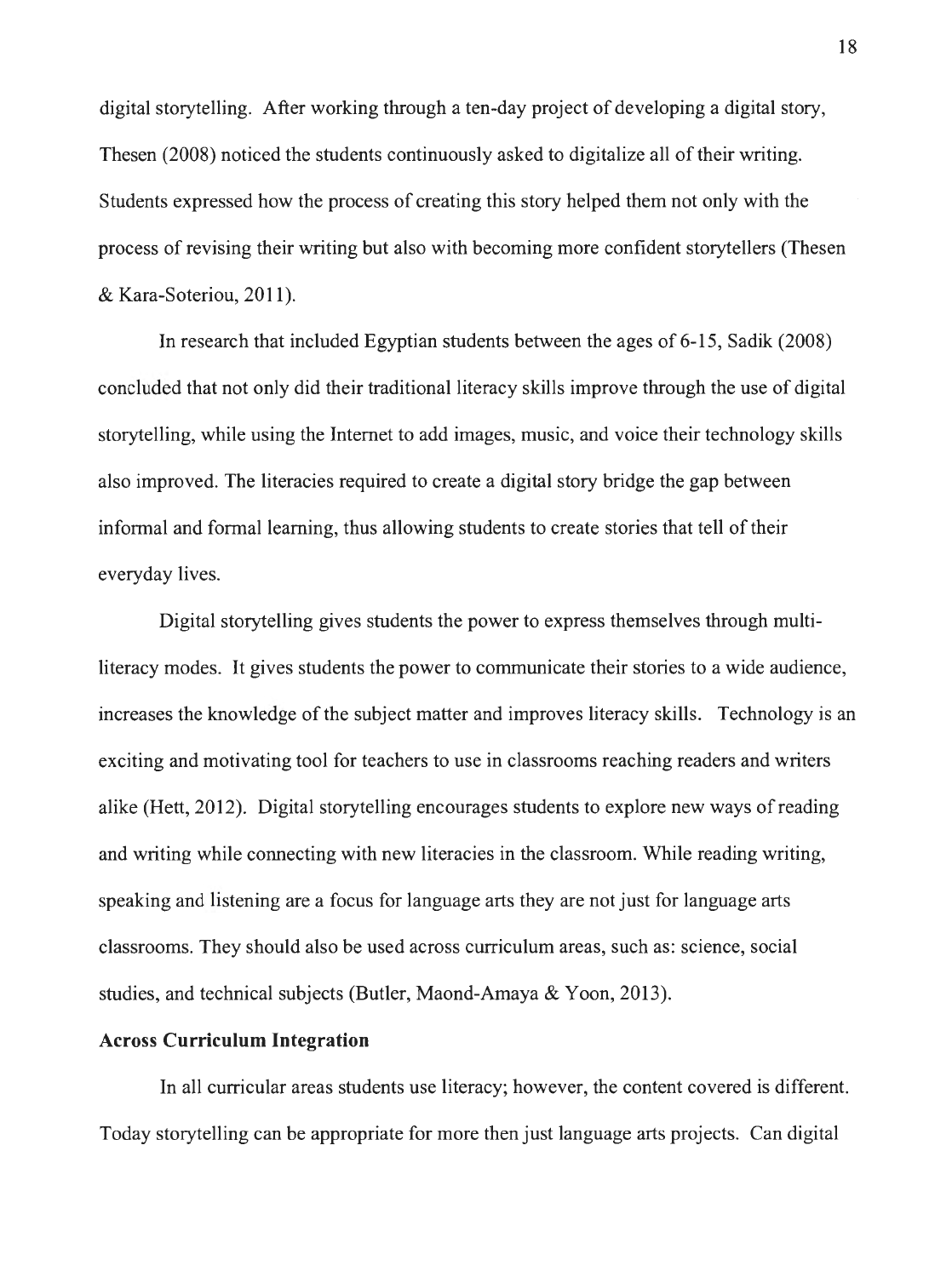digital storytelling. After working through a ten-day project of developing a digital story, Thesen (2008) noticed the students continuously asked to digitalize all of their writing. Students expressed how the process of creating this story helped them not only with the process of revising their writing but also with becoming more confident storytellers (Thesen & Kara-Soteriou, 2011).

In research that included Egyptian students between the ages of 6-15, Sadik (2008) concluded that not only did their traditional literacy skills improve through the use of digital storytelling, while using the Internet to add images, music, and voice their technology skills also improved. The literacies required to create a digital story bridge the gap between informal and formal learning, thus allowing students to create stories that tell of their everyday lives.

Digital storytelling gives students the power to express themselves through multiliteracy modes. It gives students the power to communicate their stories to a wide audience, increases the knowledge of the subject matter and improves literacy skills. Technology is an exciting and motivating tool for teachers to use in classrooms reaching readers and writers alike (Hett, 2012). Digital storytelling encourages students to explore new ways of reading and writing while connecting with new literacies in the classroom. While reading writing, speaking and listening are a focus for language arts they are not just for language arts classrooms. They should also be used across curriculum areas, such as: science, social studies, and technical subjects (Butler, Maond-Amaya & Yoon, 2013).

#### **Across Curriculum Integration**

In all curricular areas students use literacy; however, the content covered is different. Today storytelling can be appropriate for more then just language arts projects. Can digital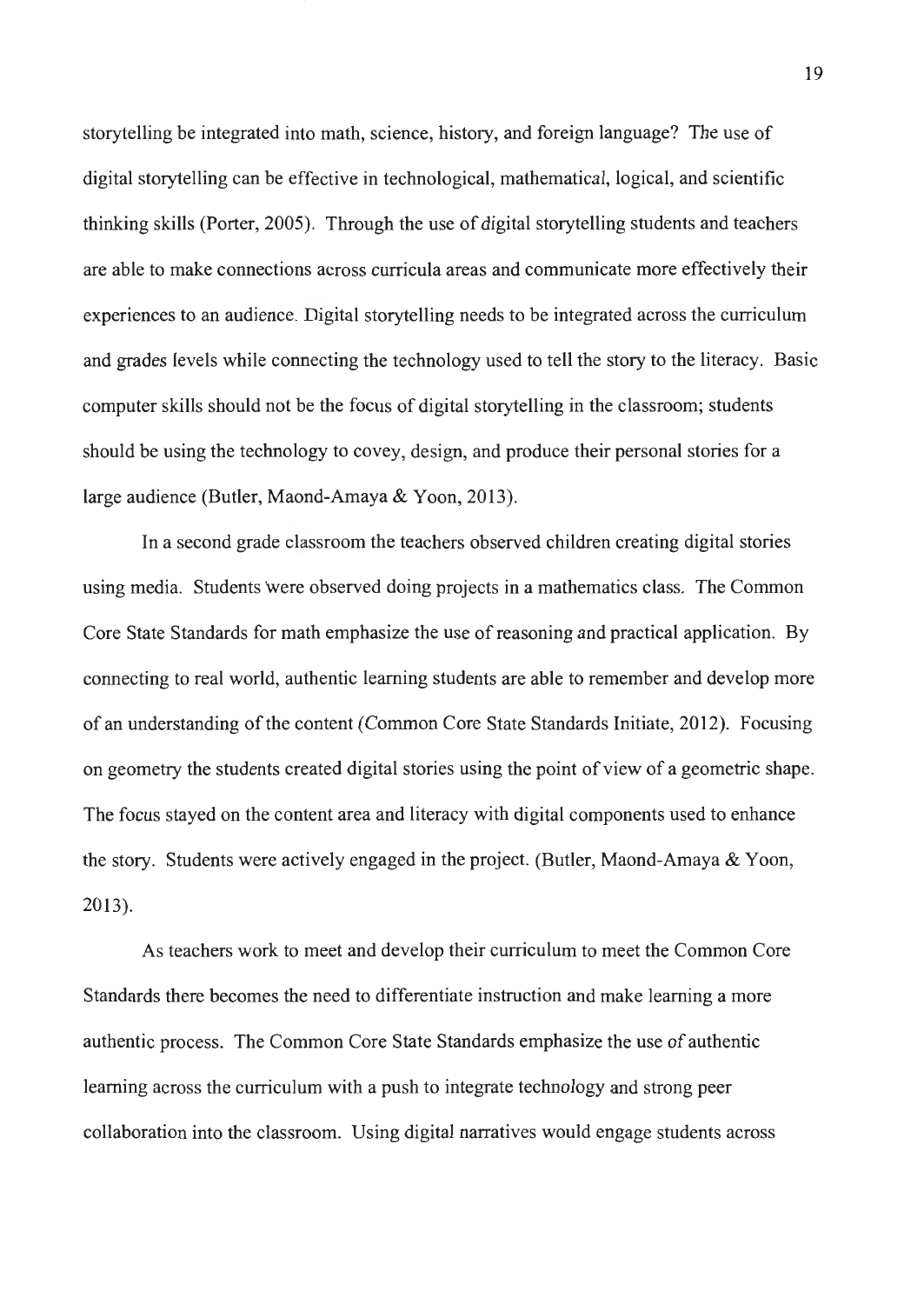storytelling be integrated into math, science, history, and foreign language? The use of digital storytelling can be effective in technological, mathematical, logical, and scientific thinking skills (Porter, 2005). Through the use of digital storytelling students and teachers are able to make connections across curricula areas and communicate more effectively their experiences to an audience. Digital storytelling needs to be integrated across the curriculum and grades levels while connecting the technology used to tell the story to the literacy. Basic computer skills should not be the focus of digital storytelling in the classroom; students should be using the technology to covey, design, and produce their personal stories for a large audience (Butler, Maond-Amaya & Yoon, 2013).

In a second grade classroom the teachers observed children creating digital stories using media. Students were observed doing projects in a mathematics class. The Common Core State Standards for math emphasize the use of reasoning and practical application. By connecting to real world, authentic learning students are able to remember and develop more of an understanding of the content (Common Core State Standards Initiate, 2012). Focusing on geometry the students created digital stories using the point of view of a geometric shape. The focus stayed on the content area and literacy with digital components used to enhance the story. Students were actively engaged in the project. (Butler, Maond-Amaya & Yoon, 2013).

As teachers work to meet and develop their curriculum to meet the Common Core Standards there becomes the need to differentiate instruction and make learning a more authentic process. The Common Core State Standards emphasize the use of authentic learning across the curriculum with a push to integrate technology and strong peer collaboration into the classroom. Using digital narratives would engage students across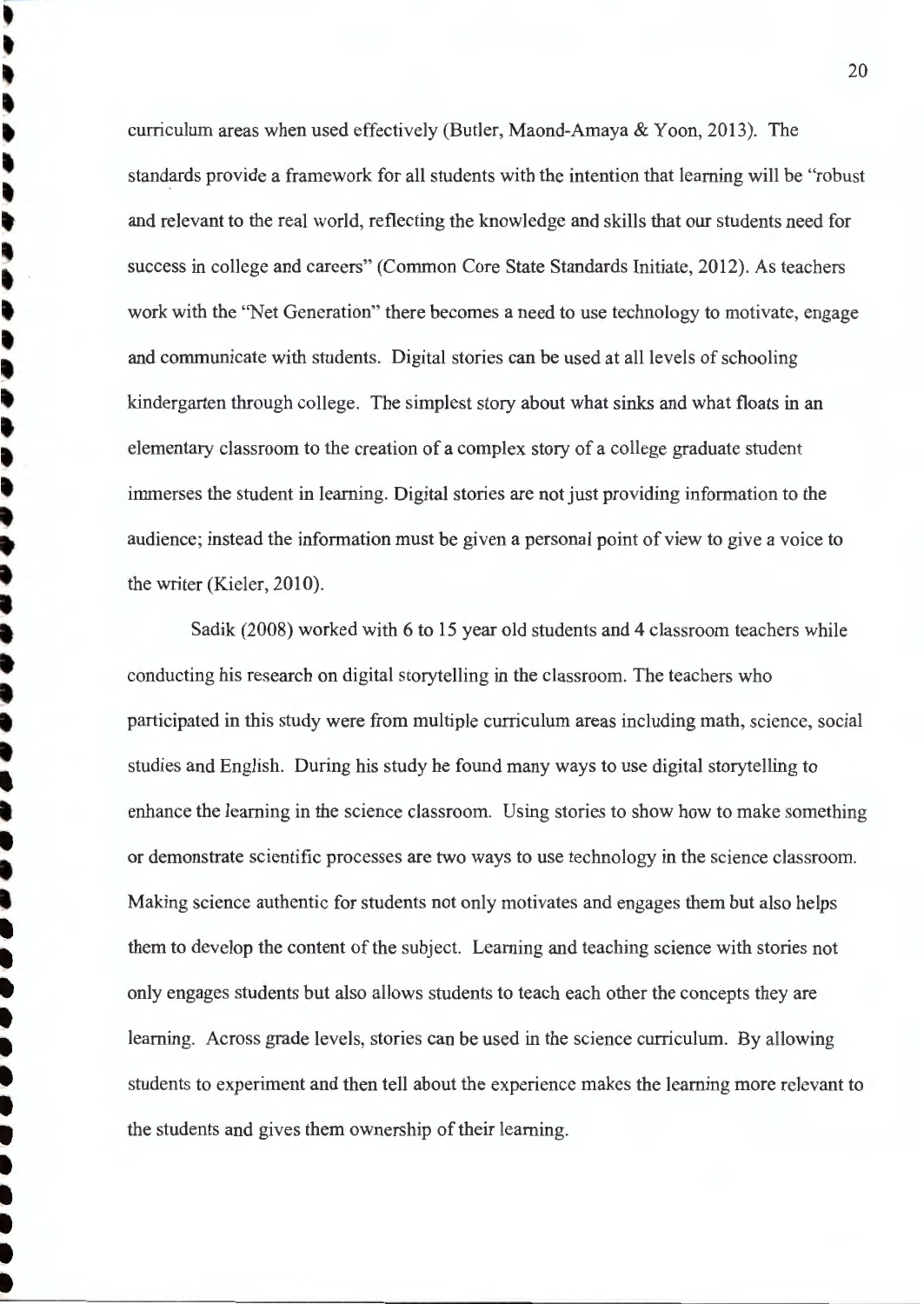curriculum areas when used effectively (Butler, Maond-Amaya & Yoon, 2013). The standards provide a framework for all students with the intention that learning will be "robust" and relevant to the real world, reflecting the knowledge and skills that our students need for success in college and careers" (Common Core State Standards Initiate, 2012). As teachers work with the "Net Generation" there becomes a need to use technology to motivate, engage and communicate with students. Digital stories can be used at all levels of schooling kindergarten through college. The simplest story about what sinks and what floats in an elementary classroom to the creation of a complex story of a college graduate student immerses the student in learning. Digital stories are not just providing information to the audience; instead the information must be given a personal point of view to give a voice to the writer (Kieler, 2010).

Sadik (2008) worked with 6 to 15 year old students and 4 classroom teachers while conducting his research on digital storytelling in the classroom. The teachers who participated in this study were from multiple curriculum areas including math, science, social studies and English. During his study he found many ways to use digital storytelling to enhance the learning in the science classroom. Using stories to show how to make something or demonstrate scientific processes are two ways to use technology in the science classroom . Making science authentic for students not only motivates and engages them but also helps them to develop the content of the subject. Leaming and teaching science with stories not only engages students but also allows students to teach each other the concepts they are learning. Across grade levels, stories can be used in the science curriculum. By allowing students to experiment and then tell about the experience makes the learning more relevant to the students and gives them ownership of their learning.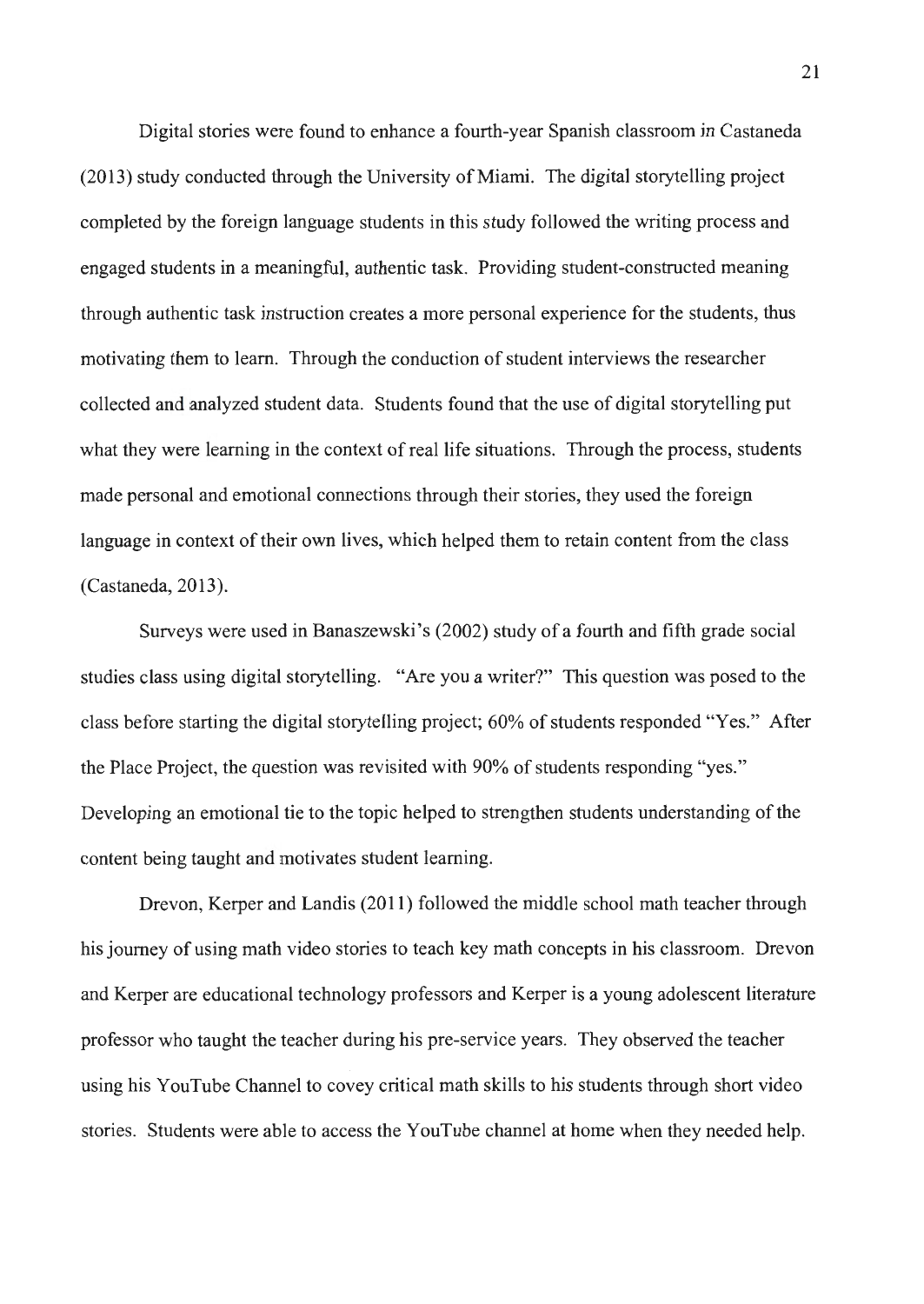Digital stories were found to enhance a fourth-year Spanish classroom in Castaneda (2013) study conducted through the University of Miami. The digital storytelling project completed by the foreign language students in this study followed the writing process and engaged students in a meaningful, authentic task. Providing student-constructed meaning through authentic task instruction creates a more personal experience for the students, thus motivating them to learn. Through the conduction of student interviews the researcher collected and analyzed student data. Students found that the use of digital storytelling put what they were learning in the context of real life situations. Through the process, students made personal and emotional connections through their stories, they used the foreign language in context of their own lives, which helped them to retain content from the class (Castaneda, 2013).

Surveys were used in Banaszewski 's (2002) study of a fourth and fifth grade social studies class using digital storytelling. "Are you a writer?" This question was posed to the class before starting the digital storytelling project; 60% of students responded "Yes." After the Place Project, the question was revisited with 90% of students responding "yes." Developing an emotional tie to the topic helped to strengthen students understanding of the content being taught and motivates student learning.

Drevon, Kerper and Landis (2011) followed the middle school math teacher through his journey of using math video stories to teach key math concepts in his classroom. Drevon and Kerper are educational technology professors and Kerper is a young adolescent literature professor who taught the teacher during his pre-service years. They observed the teacher using his YouTube Channel to covey critical math skills to his students through short video stories. Students were able to access the Y ouTube channel at home when they needed help.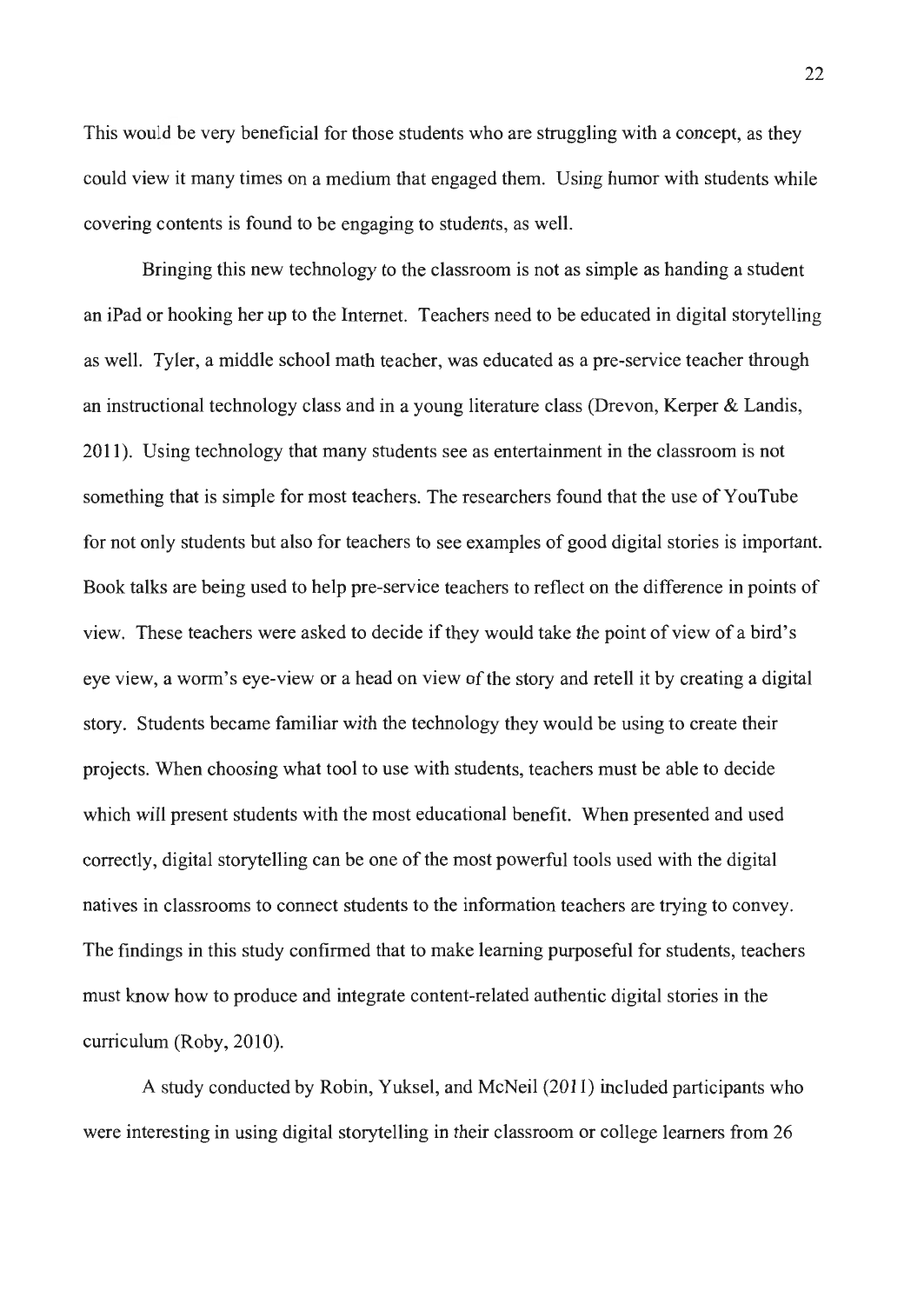This would be very beneficial for those students who are struggling with a concept, as they could view it many times on a medium that engaged them. Using humor with students while covering contents is found to be engaging to students, as well.

Bringing this new technology to the classroom is not as simple as handing a student an iPad or hooking her up to the Internet. Teachers need to be educated in digital storytelling as well. Tyler, a middle school math teacher, was educated as a pre-service teacher through an instructional technology class and in a young literature class (Drevon, Kerper & Landis, 2011). Using technology that many students see as entertainment in the classroom is not something that is simple for most teachers. The researchers found that the use of Y ouTube for not only students but also for teachers to see examples of good digital stories is important. Book talks are being used to help pre-service teachers to reflect on the difference in points of view. These teachers were asked to decide if they would take the point of view of a bird's eye view, a worm's eye-view or a head on view of the story and retell it by creating a digital story. Students became familiar with the technology they would be using to create their projects. When choosing what tool to use with students, teachers must be able to decide which will present students with the most educational benefit. When presented and used correctly, digital storytelling can be one of the most powerful tools used with the digital natives in classrooms to connect students to the information teachers are trying to convey. The findings in this study confirmed that to make learning purposeful for students, teachers must know how to produce and integrate content-related authentic digital stories in the curriculum (Roby, 2010).

A study conducted by Robin, Yuksel, and McNeil (2011) included participants who were interesting in using digital storytelling in their classroom or college learners from 26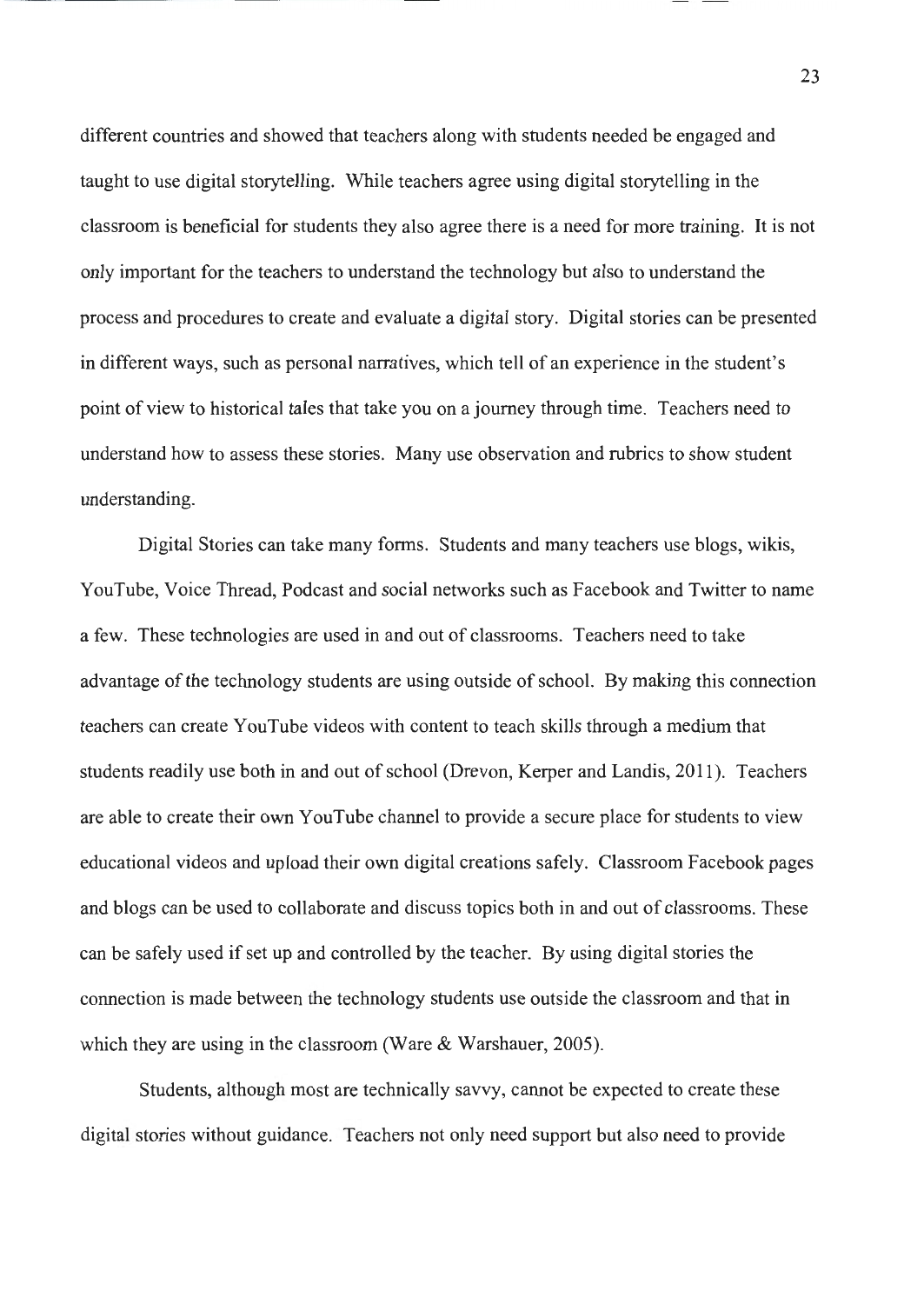different countries and showed that teachers along with students needed be engaged and taught to use digital storytelling. While teachers agree using digital storytelling in the classroom is beneficial for students they also agree there is a need for more training. It is not only important for the teachers to understand the technology but also to understand the process and procedures to create and evaluate a digital story. Digital stories can be presented in different ways, such as personal narratives, which tell of an experience in the student's point of view to historical tales that take you on a journey through time. Teachers need to understand how to assess these stories. Many use observation and rubrics to show student understanding.

Digital Stories can take many forms. Students and many teachers use biogs, wikis, YouTube, Voice Thread, Podcast and social networks such as Facebook and Twitter to name a few. These technologies are used in and out of classrooms. Teachers need to take advantage of the technology students are using outside of school. By making this connection teachers can create Y ouTube videos with content to teach skills through a medium that students readily use both in and out of school (Drevon, Kerper and Landis, 2011 ). Teachers are able to create their own Y ouTube channel to provide a secure place for students to view educational videos and upload their own digital creations safely. Classroom Facebook pages and biogs can be used to collaborate and discuss topics both in and out of classrooms. These can be safely used if set up and controlled by the teacher. By using digital stories the connection is made between the technology students use outside the classroom and that in which they are using in the classroom (Ware & Warshauer, 2005).

Students, although most are technically savvy, cannot be expected to create these digital stories without guidance. Teachers not only need support but also need to provide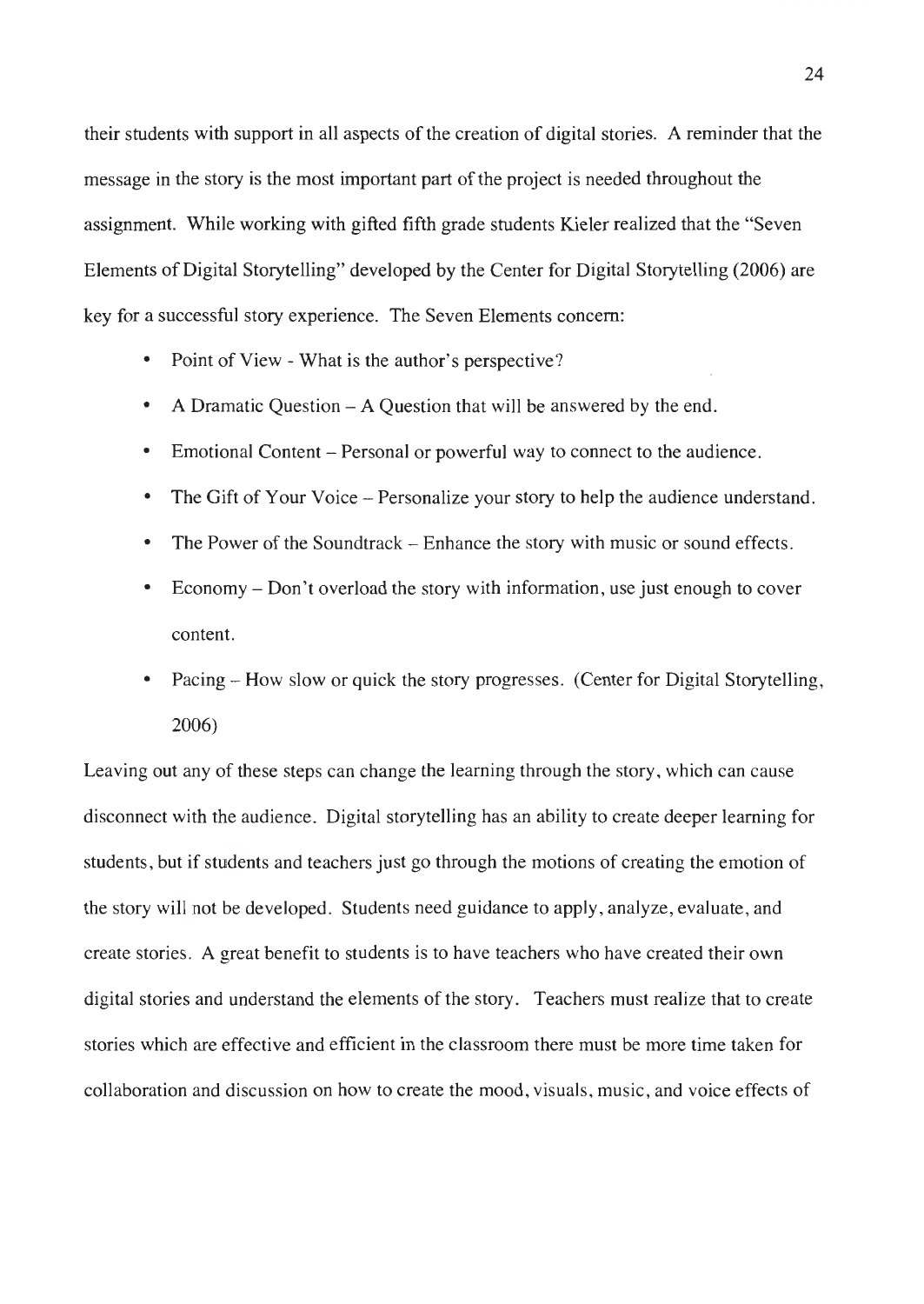their students with support in all aspects of the creation of digital stories. A reminder that the message in the story is the most important part of the project is needed throughout the assignment. While working with gifted fifth grade students Kjeler realized that the "Seven Elements of Digital Storytelling" developed by the Center for Digital Storytelling (2006) are key for a successful story experience. The Seven Elements concern:

- Point of View - What is the author's perspective?
- A Dramatic Question - A Question that will be answered by the end .
- Emotional Content - Personal or powerful way to connect to the audience .
- The Gift of Your Voice - Personalize your story to help the audience understand .
- The Power of the Soundtrack – Enhance the story with music or sound effects.
- Economy - Don't overload the story with information, use just enough to cover content.
- Pacing How slow or quick the story progresses. (Center for Digital Storytelling, 2006)

Leaving out any of these steps can change the learning through the story, which can cause disconnect with the audience. Digital storytelling has an ability to create deeper learning for students, but if students and teachers just go through the motions of creating the emotion of the story will not be developed. Students need guidance to apply, analyze, evaluate, and create stories. A great benefit to students is to have teachers who have created their own digital stories and understand the elements of the story. Teachers must realize that to create stories which are effective and efficient in the classroom there must be more time taken for collaboration and discussion on how to create the mood , visuals, music, and voice effects of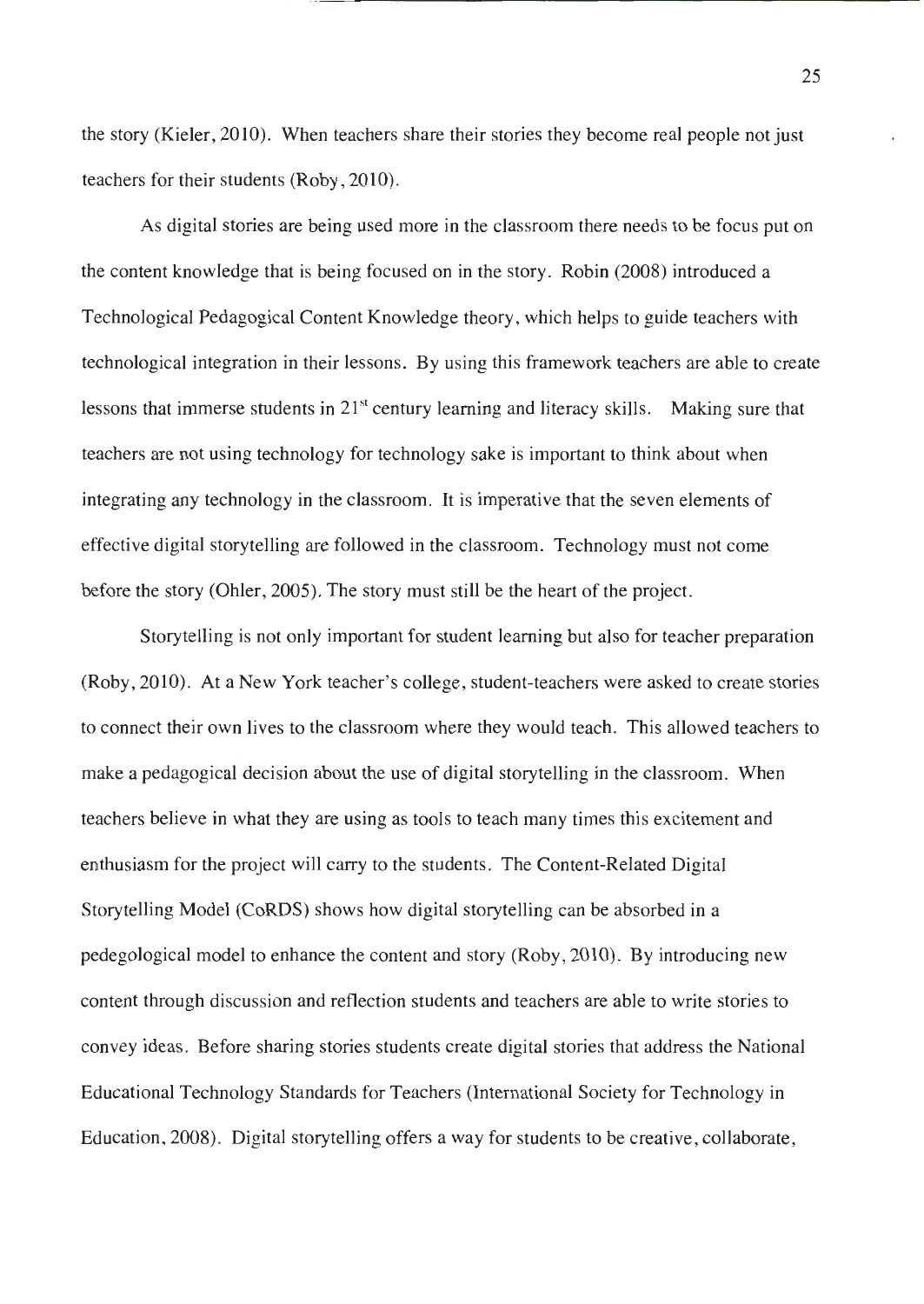the story (Kieler, 2010). When teachers share their stories they become real people not just teachers for their students (Roby, 2010).

As digital stories are being used more in the classroom there needs to be focus put on the content knowledge that is being focused on in the story. Robin (2008) introduced a Technological Pedagogical Content Knowledge theory, which helps to guide teachers with technological integration in their lessons. By using this framework teachers are able to create lessons that immerse students in  $21<sup>st</sup>$  century learning and literacy skills. Making sure that teachers are not using technology for technology sake is important to think about when integrating any technology in the classroom. It is imperative that the seven elements of effective digital storytelling are followed in the classroom. Technology must not come before the story (Ohler, 2005). The story must still be the heart of the project.

Storytelling is not only important for student learning but also for teacher preparation (Roby , 2010). At a New York teacher's college, student-teachers were asked to create stories to connect their own lives to the classroom where they would teach. This allowed teachers to make a pedagogical decision about the use of digital storytelling in the classroom. When teachers believe in what they are using as tools to teach many times this excitement and enthusiasm for the project will carry to the students. The Content-Related Digital Storytelling Model (CoRDS) shows how digital storytelling can be absorbed in a pedegological model to enhance the content and story (Roby, 2010). By introducing new content through discussion and reflection students and teachers are able to write stories to convey ideas. Before sharing stories students create digital stories that address the National Educational Technology Standards for Teachers (International Society for Technology in Education, 2008). Digital storytelling offers a way for students to be creative, collaborate,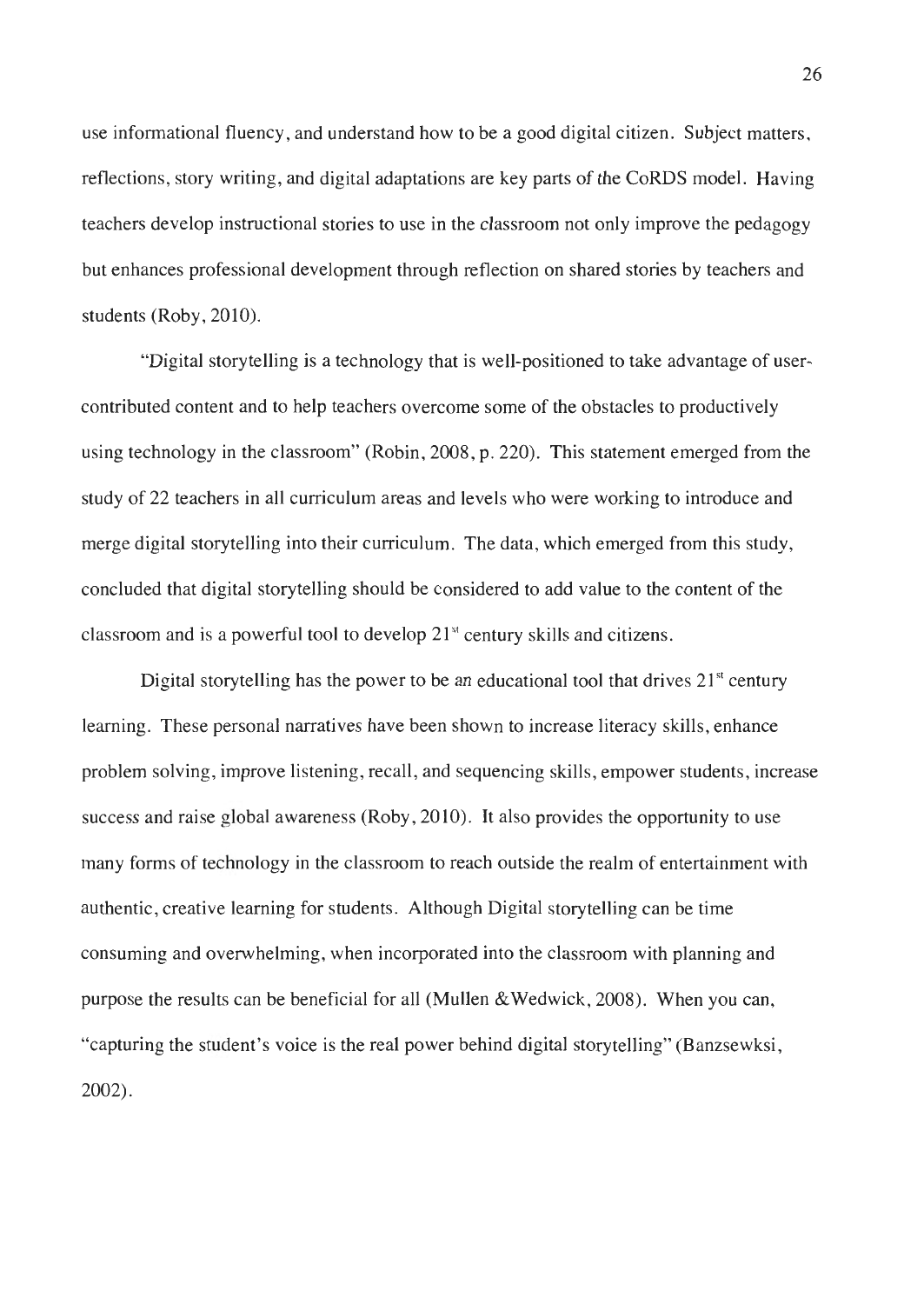use informational fluency, and understand how to be a good digital citizen. Subject matters, reflections, story writing, and digital adaptations are key parts of the CoRDS model. Having teachers develop instructional stories to use in the classroom not only improve the pedagogy but enhances professional development through reflection on shared stories by teachers and students (Roby, 2010).

"Digital storytelling is a technology that is well-positioned to take advantage of usercontributed content and to help teachers overcome some of the obstacles to productively using technology in the classroom" (Robin, 2008, p. 220). This statement emerged from the study of 22 teachers in all curriculum areas and levels who were working to introduce and merge digital storytelling into their curriculum. The data, which emerged from this study , concluded that digital storytelling should be considered to add value to the content of the classroom and is a powerful tool to develop  $21<sup>st</sup>$  century skills and citizens.

Digital storytelling has the power to be an educational tool that drives  $21<sup>st</sup>$  century learning. These personal narratives have been shown to increase literacy skills, enhance problem solving, improve listening, recall, and sequencing skills, empower students, increase success and raise global awareness (Roby, 2010). It also provides the opportunity to use many forms of technology in the classroom to reach outside the realm of entertainment with authentic , creative learning for students. Although Digital storytelling can be time consuming and overwhelming, when incorporated into the classroom with planning and purpose the results can be beneficial for all (Mullen &Wedwick, 2008). When you can, "capturing the student's voice is the real power behind digital storytelling" (Banzsewksi, 2002).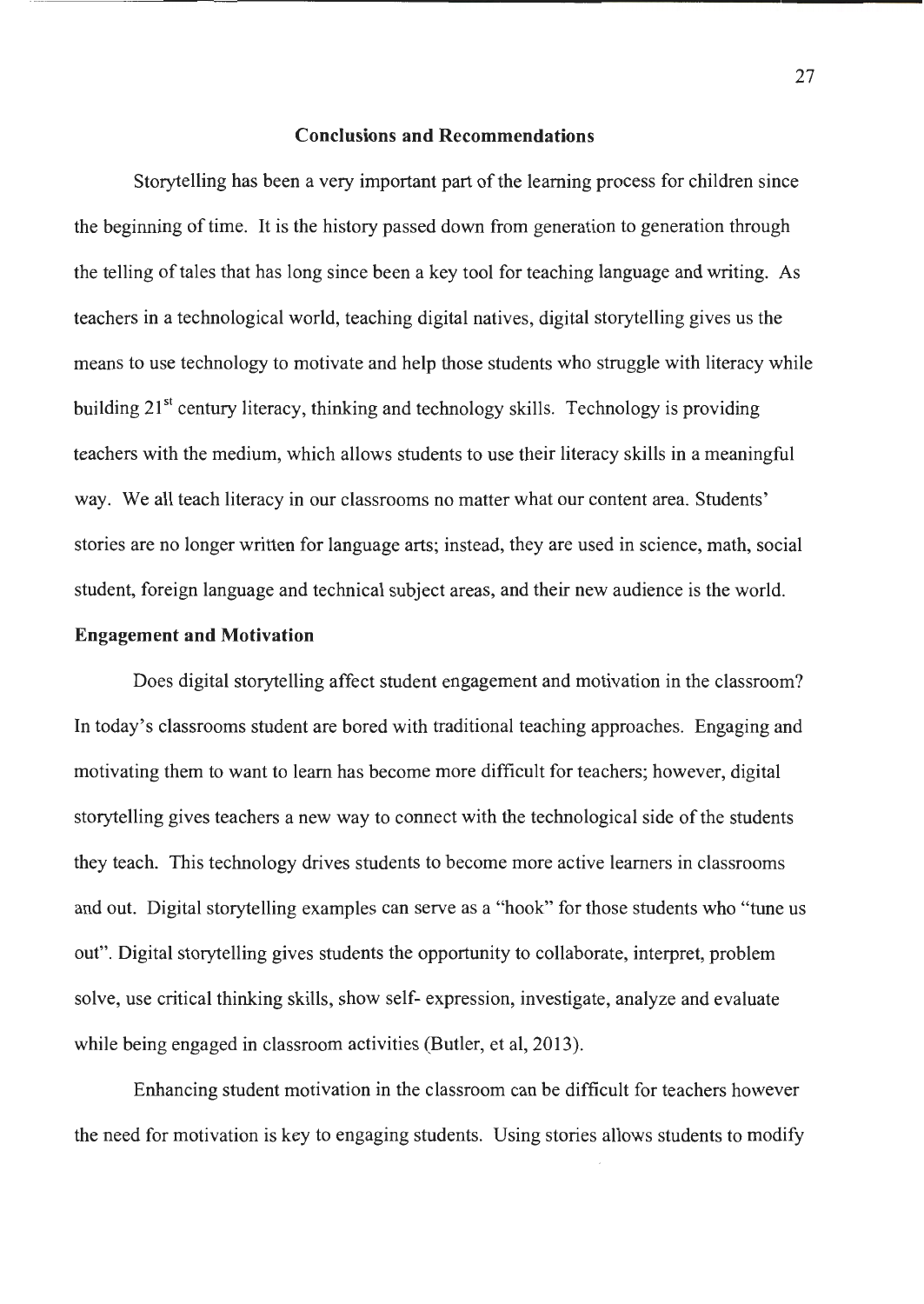#### **Conclusions and Recommendations**

Storytelling has been a very important part of the learning process for children since the beginning of time. It is the history passed down from generation to generation through the telling of tales that has long since been a key tool for teaching language and writing. As teachers in a technological world, teaching digital natives, digital storytelling gives us the means to use technology to motivate and help those students who struggle with literacy while building 21<sup>st</sup> century literacy, thinking and technology skills. Technology is providing teachers with the medium, which allows students to use their literacy skills in a meaningful way. We all teach literacy in our classrooms no matter what our content area. Students' stories are no longer written for language arts; instead, they are used in science, math, social student, foreign language and technical subject areas, and their new audience is the world.

#### **Engagement and Motivation**

Does digital storytelling affect student engagement and motivation in the classroom? In today's classrooms student are bored with traditional teaching approaches. Engaging and motivating them to want to learn has become more difficult for teachers; however, digital storytelling gives teachers a new way to connect with the technological side of the students they teach. This technology drives students to become more active learners in classrooms and out. Digital storytelling examples can serve as a "hook" for those students who "tune us out". Digital storytelling gives students the opportunity to collaborate, interpret, problem solve, use critical thinking skills, show self- expression, investigate, analyze and evaluate while being engaged in classroom activities (Butler, et al, 2013).

Enhancing student motivation in the classroom can be difficult for teachers however the need for motivation is key to engaging students. Using stories allows students to modify

27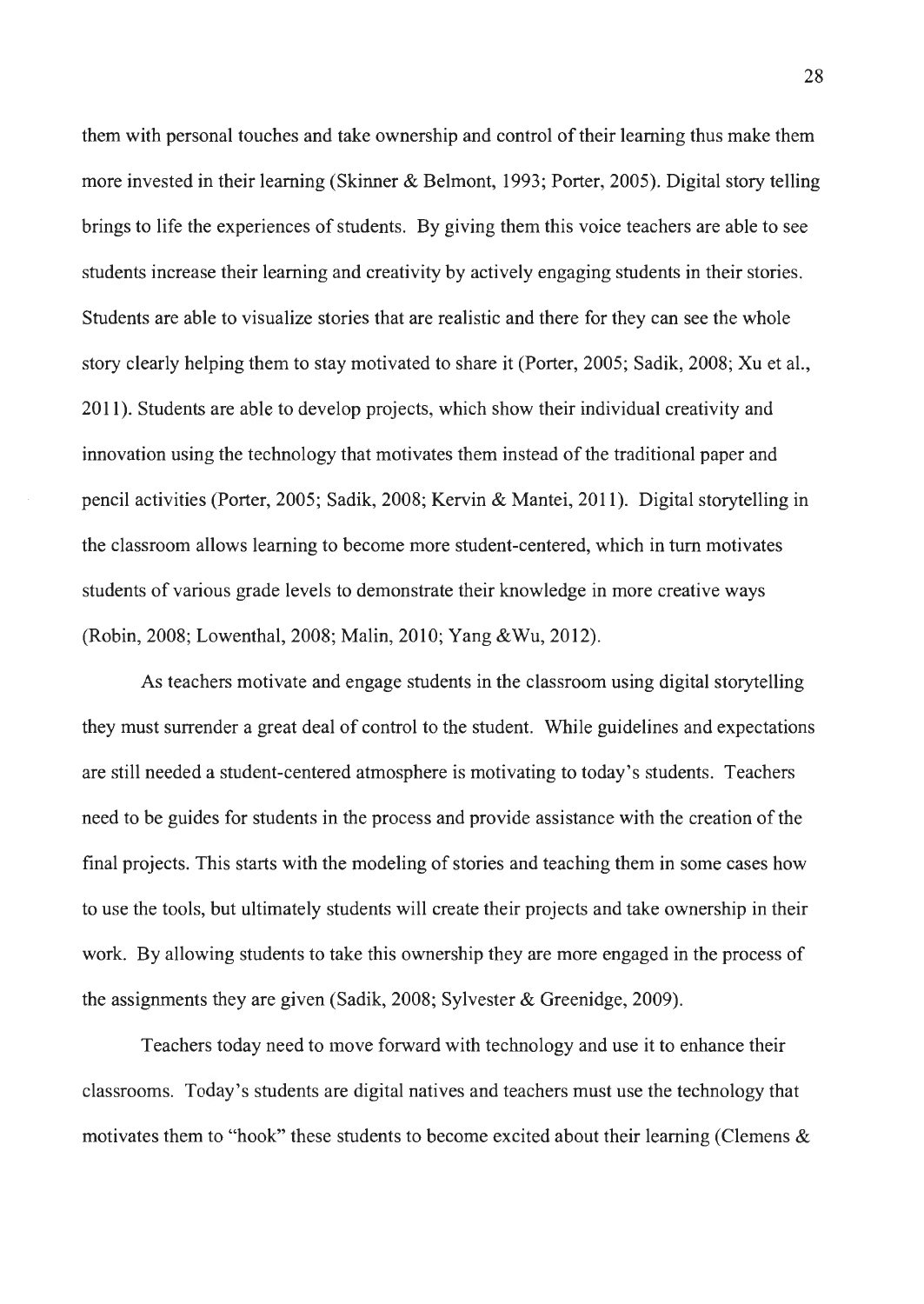them with personal touches and take ownership and control of their learning thus make them more invested in their learning (Skinner & Belmont, 1993; Porter, 2005). Digital story telling brings to life the experiences of students. By giving them this voice teachers are able to see students increase their learning and creativity by actively engaging students in their stories. Students are able to visualize stories that are realistic and there for they can see the whole story clearly helping them to stay motivated to share it (Porter, 2005; Sadik, 2008; Xu et al., 2011). Students are able to develop projects, which show their individual creativity and innovation using the technology that motivates them instead of the traditional paper and pencil activities (Porter, 2005; Sadik, 2008; Kervin & Mantei, 2011). Digital storytelling in the classroom allows learning to become more student-centered, which in tum motivates students of various grade levels to demonstrate their knowledge in more creative ways (Robin, 2008; Lowenthal, 2008; Malin, 2010; Yang &Wu, 2012).

As teachers motivate and engage students in the classroom using digital storytelling they must surrender a great deal of control to the student. While guidelines and expectations are still needed a student-centered atmosphere is motivating to today's students. Teachers need to be guides for students in the process and provide assistance with the creation of the final projects. This starts with the modeling of stories and teaching them in some cases how to use the tools, but ultimately students will create their projects and take ownership in their work. By allowing students to take this ownership they are more engaged in the process of the assignments they are given (Sadik, 2008; Sylvester & Greenidge, 2009).

Teachers today need to move forward with technology and use it to enhance their classrooms. Today's students are digital natives and teachers must use the technology that motivates them to "hook" these students to become excited about their learning (Clemens &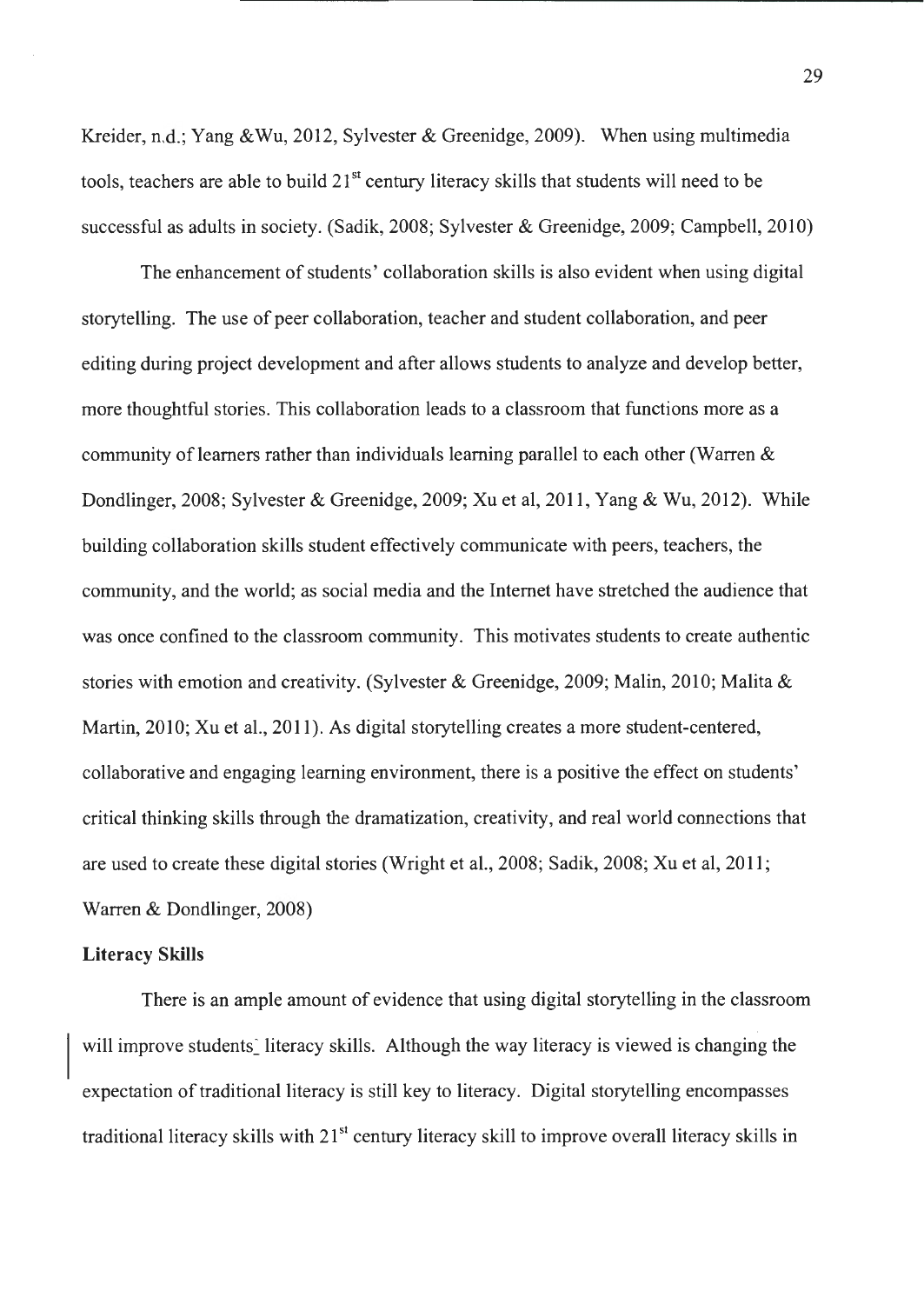Kreider, n.d.; Yang &Wu, 2012, Sylvester & Greenidge, 2009). When using multimedia tools, teachers are able to build  $21<sup>st</sup>$  century literacy skills that students will need to be successful as adults in society. (Sadik, 2008; Sylvester & Greenidge, 2009; Campbell, 2010)

The enhancement of students' collaboration skills is also evident when using digital storytelling. The use of peer collaboration, teacher and student collaboration, and peer editing during project development and after allows students to analyze and develop better, more thoughtful stories. This collaboration leads to a classroom that functions more as a community of learners rather than individuals learning parallel to each other (Warren & Dondlinger, 2008; Sylvester & Greenidge, 2009; Xu et al, 2011, Yang & Wu, 2012). While building collaboration skills student effectively communicate with peers, teachers, the community, and the world; as social media and the Internet have stretched the audience that was once confined to the classroom community. This motivates students to create authentic stories with emotion and creativity. (Sylvester & Greenidge, 2009; Malin, 2010; Malita & Martin, 2010; Xu et al., 2011). As digital storytelling creates a more student-centered, collaborative and engaging learning environment, there is a positive the effect on students' critical thinking skills through the dramatization, creativity, and real world connections that are used to create these digital stories (Wright et al., 2008; Sadik, 2008; Xu et al, 2011; Warren & Dondlinger, 2008)

#### **Literacy Skills**

There is an ample amount of evidence that using digital storytelling in the classroom will improve students' literacy skills. Although the way literacy is viewed is changing the expectation of traditional literacy is still key to literacy. Digital storytelling encompasses traditional literacy skills with  $21<sup>st</sup>$  century literacy skill to improve overall literacy skills in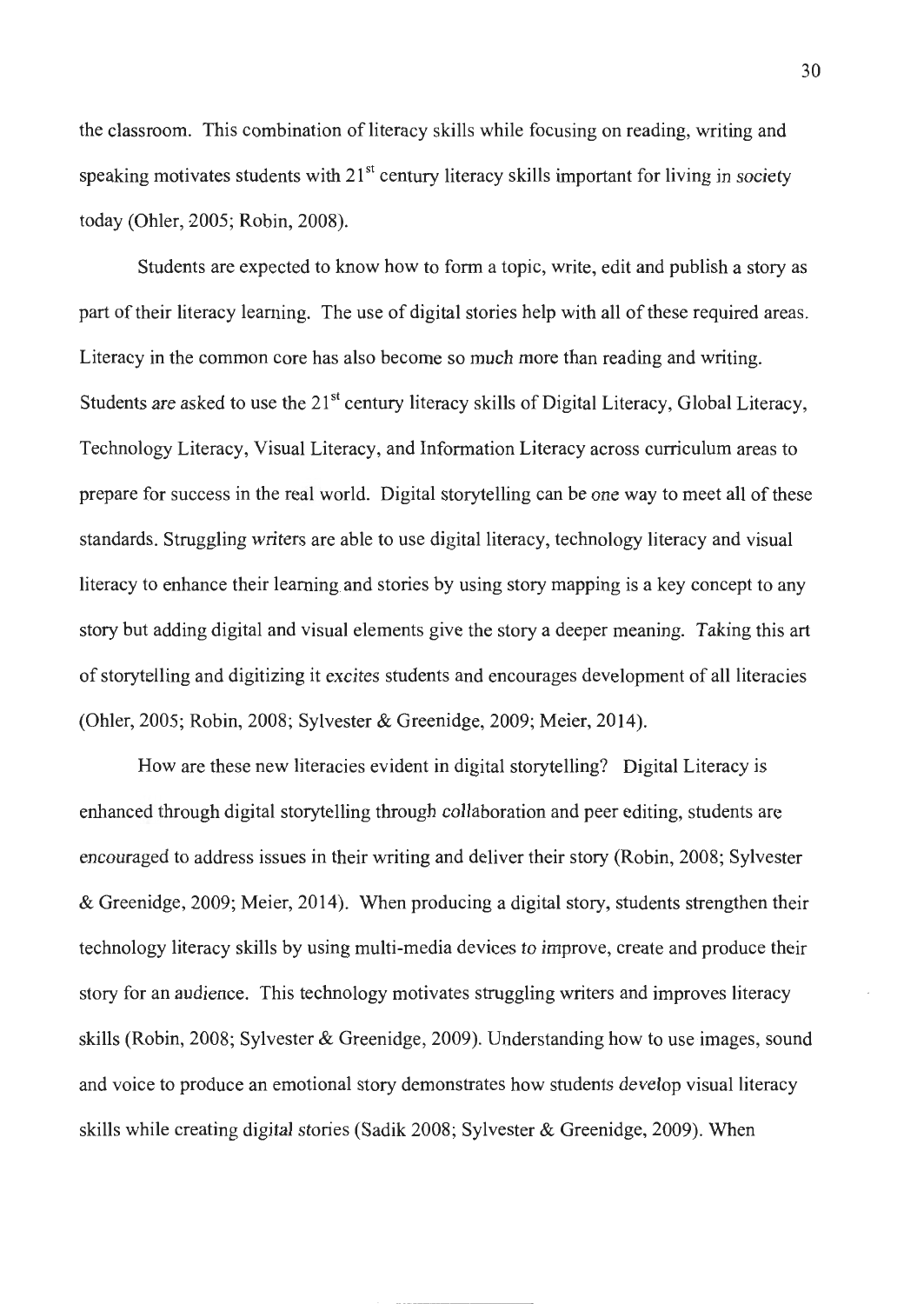the classroom. This combination of literacy skills while focusing on reading, writing and speaking motivates students with  $21<sup>st</sup>$  century literacy skills important for living in society today (Ohler, Q005; Robin, 2008).

Students are expected to know how to form a topic, write, edit and publish a story as part of their literacy learning. The use of digital stories help with all of these required areas. Literacy in the common core has also become so much more than reading and writing. Students are asked to use the 21<sup>st</sup> century literacy skills of Digital Literacy, Global Literacy, Technology Literacy, Visual Literacy, and Information Literacy across curriculum areas to prepare for success in the real world. Digital storytelling can be one way to meet all of these standards. Struggling writers are able to use digital literacy, technology literacy and visual literacy to enhance their learning and stories by using story mapping is a key concept to any story but adding digital and visual elements give the story a deeper meaning. Taking this art of storytelling and digitizing it excites students and encourages development of all literacies (Ohler, 2005; Robin, 2008; Sylvester & Greenidge, 2009; Meier, 2014).

How are these new literacies evident in digital storytelling? Digital Literacy is enhanced through digital storytelling through collaboration and peer editing, students are encouraged to address issues in their writing and deliver their story (Robin, 2008; Sylvester & Greenidge, 2009; Meier, 2014). When producing a digital story, students strengthen their technology literacy skills by using multi-media devices to improve, create and produce their story for an audience. This technology motivates struggling writers and improves literacy skills (Robin, 2008; Sylvester & Greenidge, 2009). Understanding how to use images, sound and voice to produce an emotional story demonstrates how students develop visual literacy skills while creating digital stories (Sadik 2008; Sylvester & Greenidge, 2009). When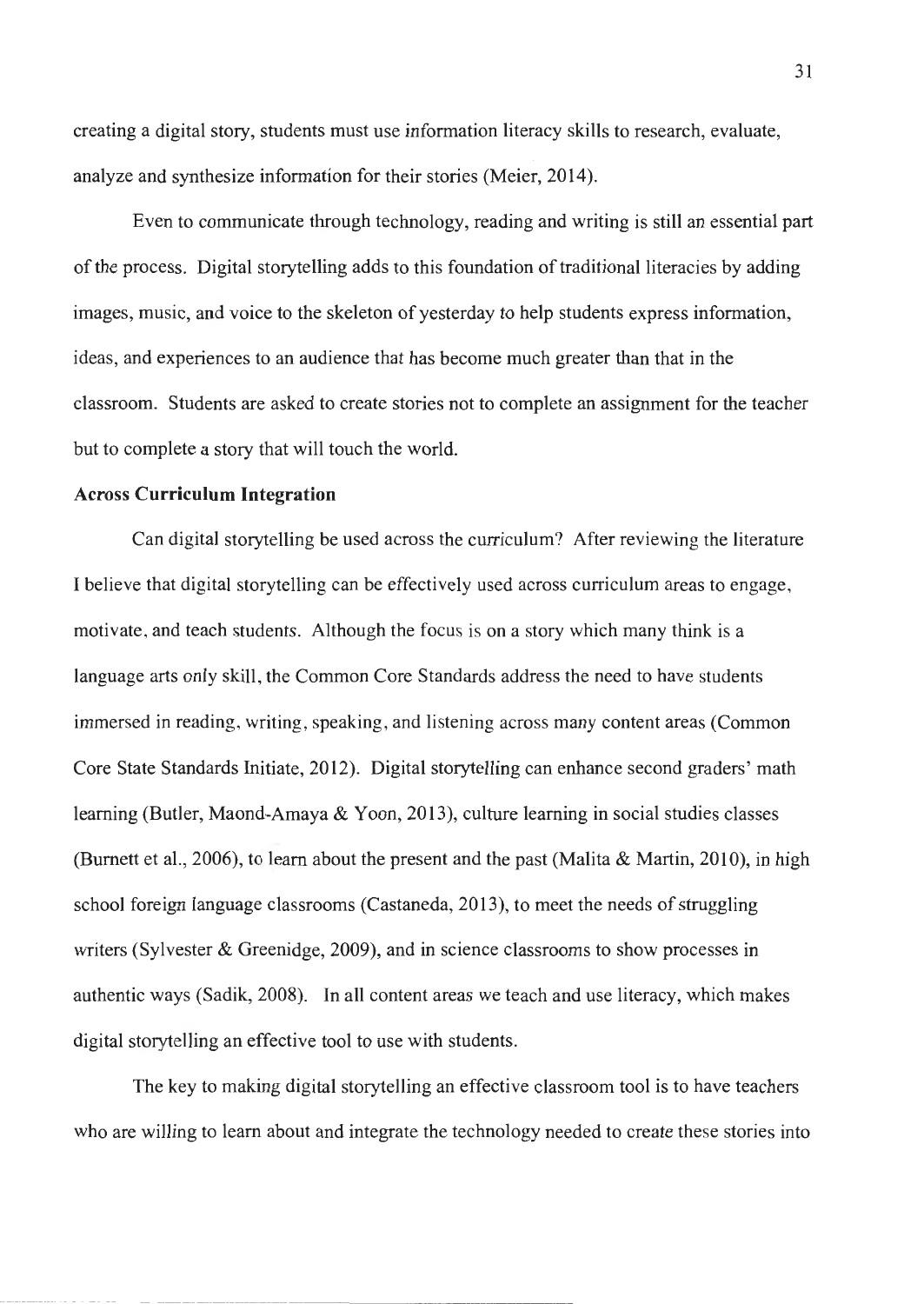creating a digital story, students must use information literacy skills to research, evaluate, analyze and synthesize information for their stories (Meier, 2014).

Even to communicate through technology, reading and writing is still an essential part of the process. Digital storytelling adds to this foundation of traditional literacies by adding images, music, and voice to the skeleton of yesterday to help students express information, ideas, and experiences to an audience that has become much greater than that in the classroom. Students are asked to create stories not to complete an assignment for the teacher but to complete a story that will touch the world.

#### **Across Curriculum Integration**

Can digital storytelling be used across the curriculum? After reviewing the literature I believe that digital storytelling can be effectively used across curriculum areas to engage , motivate, and teach students. Although the focus is on a story which many think is a language arts only skill, the Common Core Standards address the need to have students immersed in reading, writing, speaking, and listening across many content areas (Common Core State Standards Initiate, 2012). Digital storytelling can enhance second graders' math learning (Butler, Maond-Amaya & Yoon, 2013), culture learning in social studies classes (Burnett et al., 2006), to learn about the present and the past (Malita & Martin, 2010), in high school foreign language classrooms (Castaneda, 2013), to meet the needs of struggling writers (Sylvester & Greenidge, 2009), and in science classrooms to show processes in authentic ways (Sadik, 2008). In all content areas we teach and use literacy, which makes digital storytelling an effective tool to use with students.

The key to making digital storytelling an effective classroom tool is to have teachers who are willing to learn about and integrate the technology needed to create these stories into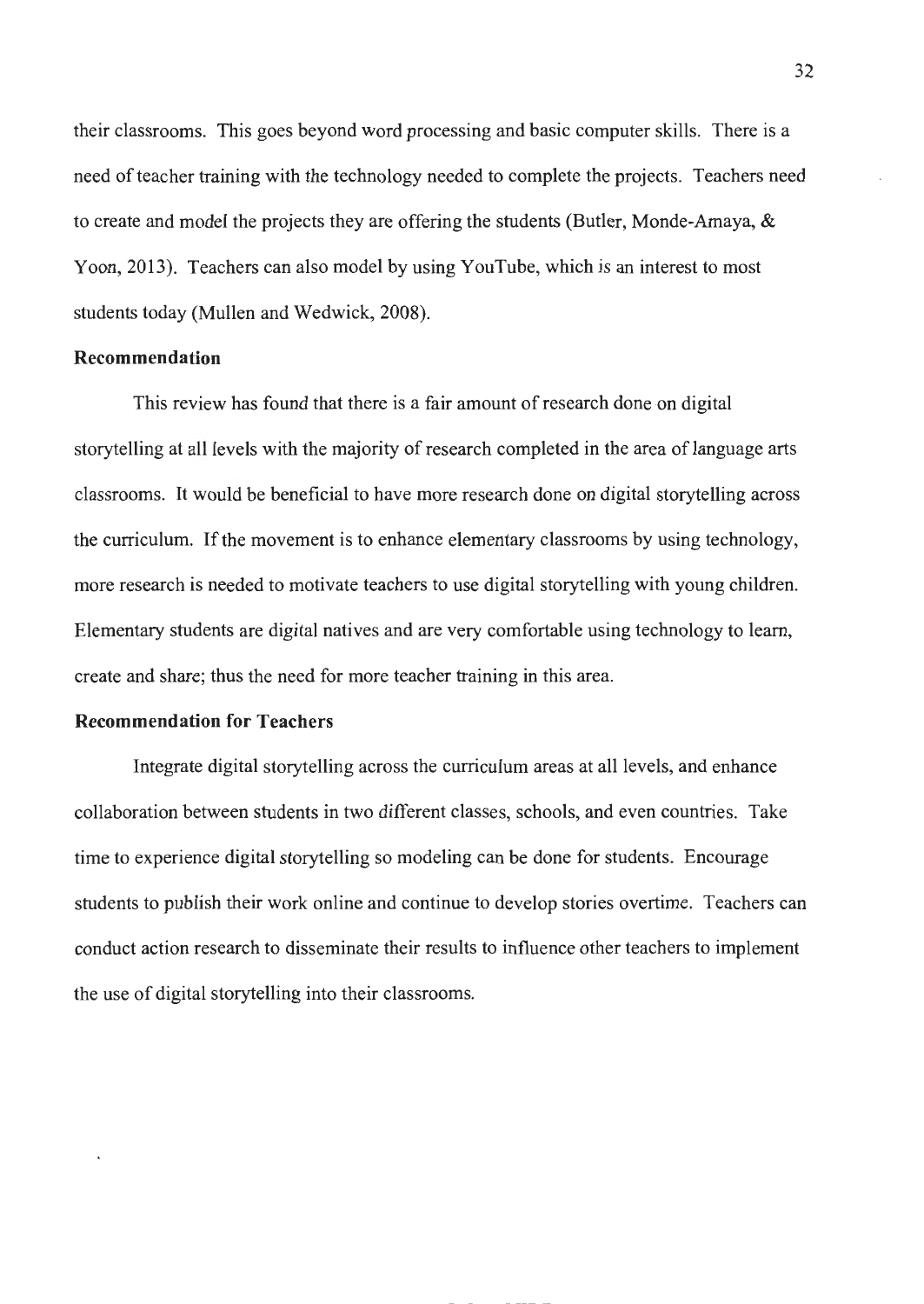their classrooms. This goes beyond word processing and basic computer skills. There is a need of teacher training with the technology needed to complete the projects. Teachers need to create and model the projects they are offering the students (Butler, Monde-Amaya, & Yoon, 2013). Teachers can also model by using YouTube, which is an interest to most students today (Mullen and Wedwick, 2008).

#### **Recommendation**

This review has found that there is a fair amount of research done on digital storytelling at all levels with the majority of research completed in the area of language arts classrooms. It would be beneficial to have more research done on digital storytelling across the curriculum. If the movement is to enhance elementary classrooms by using technology, more research is needed to motivate teachers to use digital storytelling with young children. Elementary students are digital natives and are very comfortable using technology to learn, create and share; thus the need for more teacher training in this area.

#### **Recommendation for Teachers**

Integrate digital storytelling across the curriculum areas at all levels, and enhance collaboration between students in two different classes, schools, and even countries. Take time to experience digital storytelling so modeling can be done for students. Encourage students to publish their work online and continue to develop stories overtime. Teachers can conduct action research to disseminate their results to influence other teachers to implement the use of digital storytelling into their classrooms.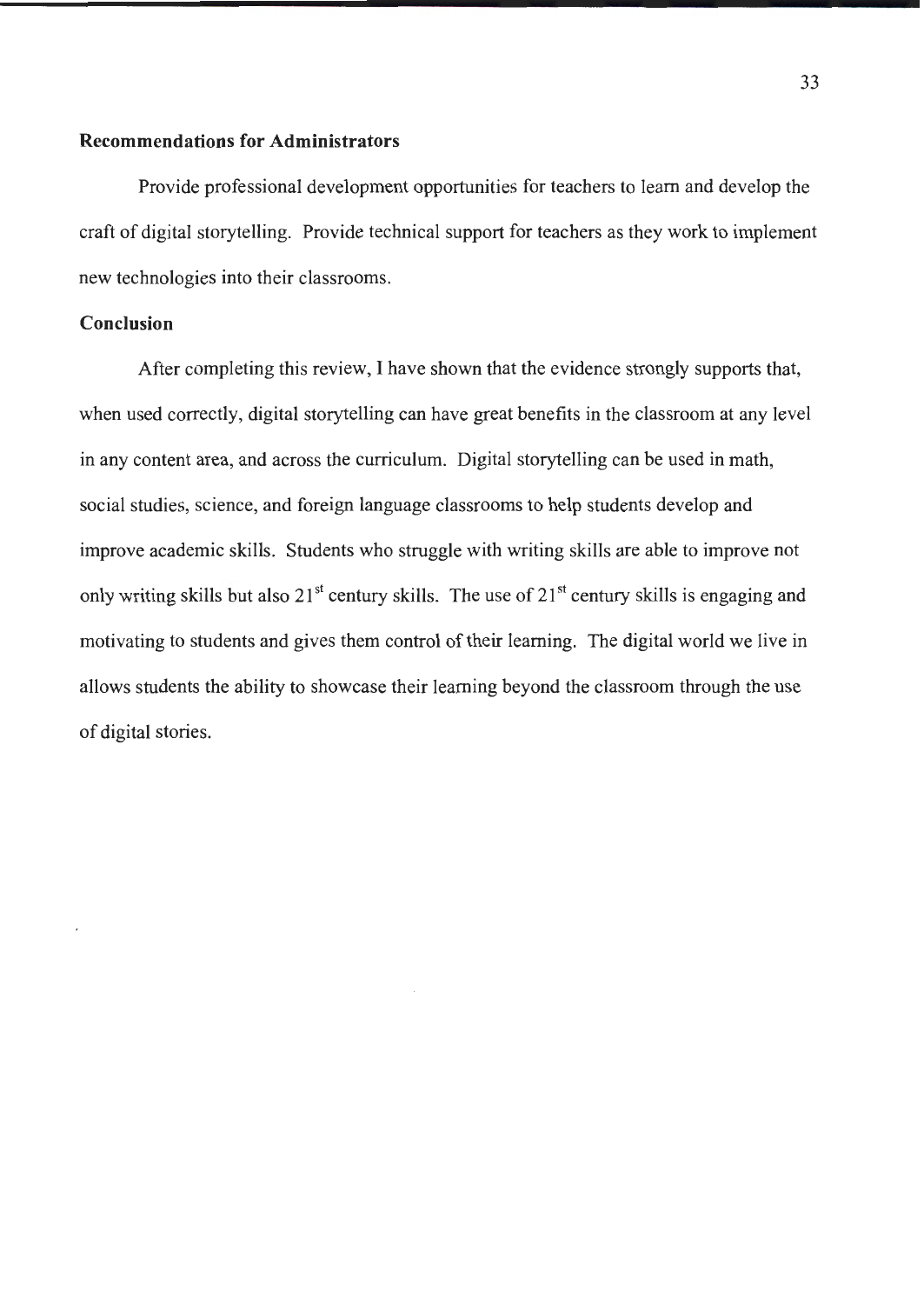#### **Recommendations for Administrators**

Provide professional development opportunities for teachers to learn and develop the craft of digital storytelling. Provide technical support for teachers as they work to implement new technologies into their classrooms.

#### **Conclusion**

After completing this review, I have shown that the evidence strongly supports that, when used correctly, digital storytelling can have great benefits in the classroom at any level in any content area, and across the curriculum. Digital storytelling can be used in math, social studies, science, and foreign language classrooms to help students develop and improve academic skills. Students who struggle with writing skills are able to improve not only writing skills but also  $21<sup>st</sup>$  century skills. The use of  $21<sup>st</sup>$  century skills is engaging and motivating to students and gives them control of their learning. The digital world we live in allows students the ability to showcase their learning beyond the classroom through the use of digital stories.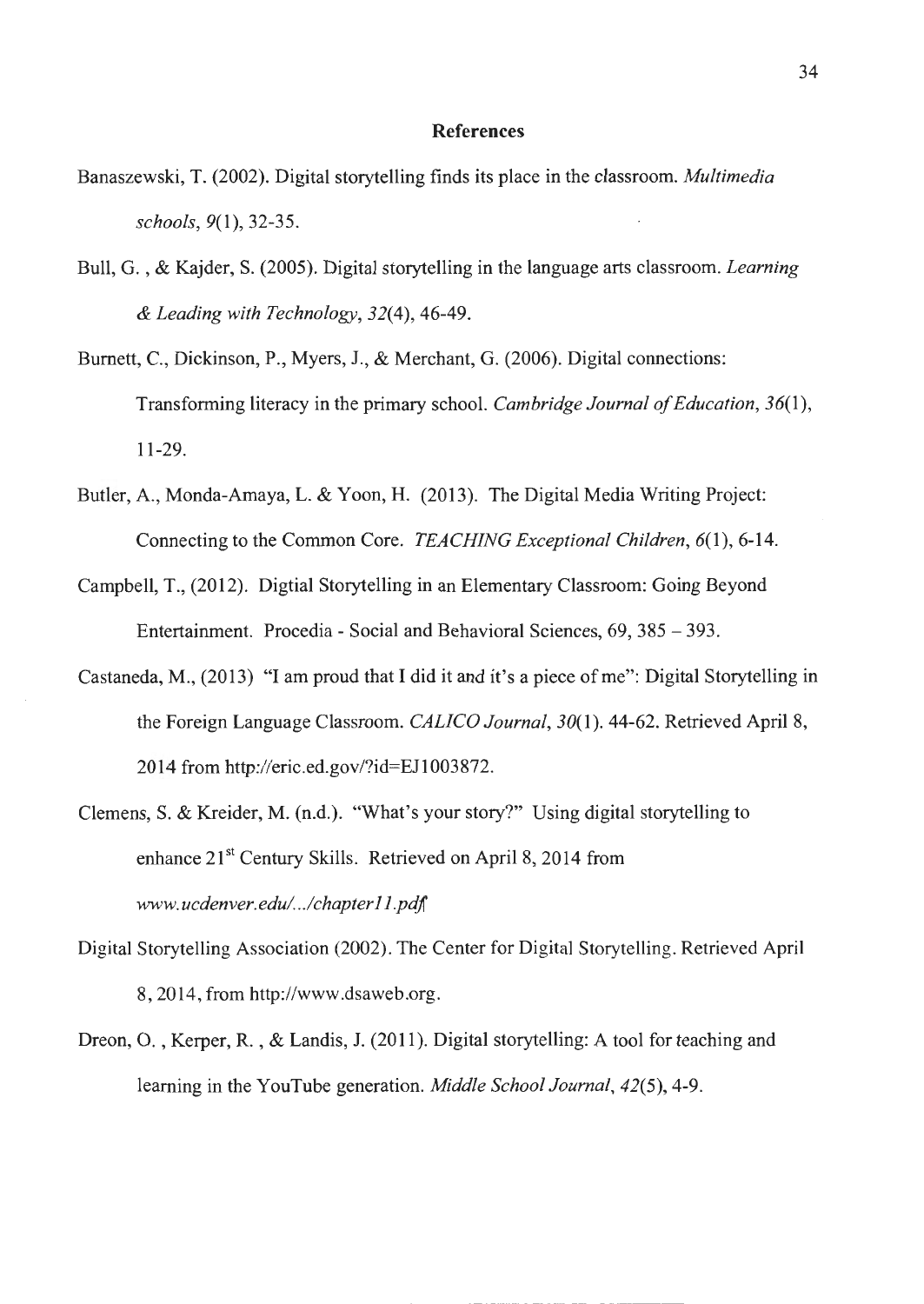#### **References**

- Banaszewski, T. (2002). Digital storytelling finds its place in the classroom. *Multimedia schools,* 9(1), 32-35.
- Bull, G. , & Kajder, S. (2005). Digital storytelling in the language arts classroom. *Learning & Leading with Technology,* 32(4), 46-49.
- Burnett, C., Dickinson, P., Myers, J., & Merchant, G. (2006). Digital connections: Transforming literacy in the primary school. *Cambridge Journal of Education, 36(1* ), 11-29.
- Butler, A. , Monda-Amaya, L. & Yoon, H. (2013). The Digital Media Writing Project: Connecting to the Common Core. *TEACHING Exceptional Children,* 6(1), 6-14.
- Campbell, T., (2012). Digtial Storytelling in an Elementary Classroom: Going Beyond Entertainment. Procedia - Social and Behavioral Sciences, 69, 385 - 393.
- Castaneda, M., (2013) "I am proud that I did it and it's a piece of me": Digital Storytelling in the Foreign Language Classroom. *CALICO Journal,* 30(1). 44-62. Retrieved April 8, 2014 from http://eric.ed.gov/?id=EJ 1003872.
- Clemens, S. & Kreider, M. (n.d.). "What's your story?" Using digital storytelling to enhance  $21<sup>st</sup>$  Century Skills. Retrieved on April 8, 2014 from *www. ucdenver. edul ../chapter 11.pdj*
- Digital Storytelling Association (2002). The Center for Digital Storytelling. Retrieved April 8, 2014, from http://www.dsaweb .org.
- Dreon, O., Kerper, R., & Landis, J. (2011). Digital storytelling: A tool for teaching and learning in the YouTube generation. *Middle School Journal,* 42(5), 4-9.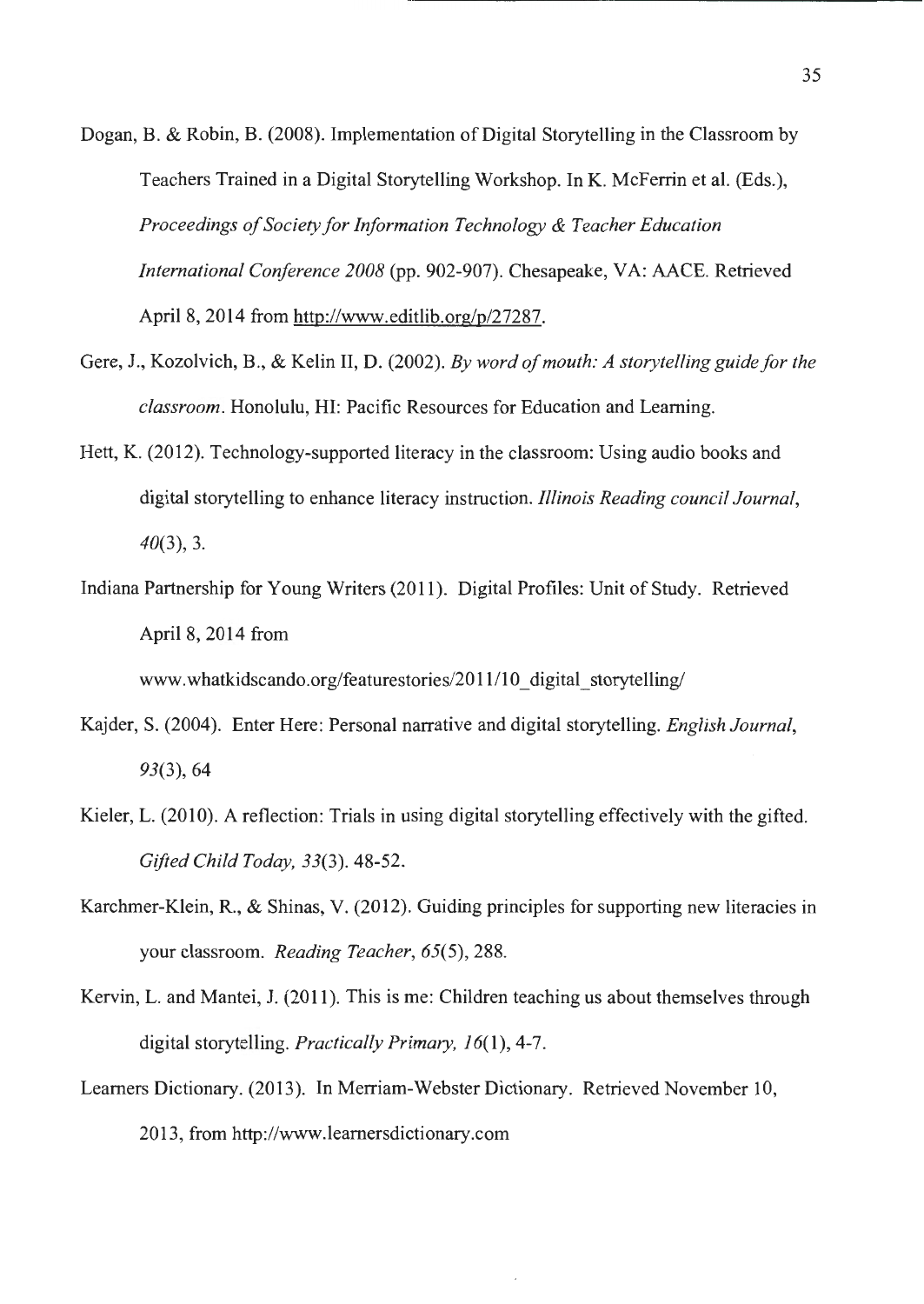- Dogan, B. & Robin, B. (2008). Implementation of Digital Storytelling in the Classroom by Teachers Trained in a Digital Storytelling Workshop. In K. Mcferrin et al. (Eds.), *Proceedings of Society for Information Technology & Teacher Education International Conference 2008* (pp. 902-907). Chesapeake, VA: AACE. Retrieved April 8, 2014 from http://www.editlib.org/p/27287.
- Gere, J., Kozolvich, B., & Kelin II, D. (2002). *By word of mouth: A storytelling guide for the classroom.* Honolulu, HI: Pacific Resources for Education and Leaming.
- Hett, K. (2012). Technology-supported literacy in the classroom: Using audio books and digital storytelling to enhance literacy instruction. *Illinois Reading council Journal, 40(3),* 3.
- Indiana Partnership for Young Writers (2011 ). Digital Profiles: Unit of Study. Retrieved April 8, 2014 from

www.whatkidscando.org/featurestories/2011/10 digital storytelling/

- Kajder, S. (2004). Enter Here: Personal narrative and digital storytelling. *English Journal, 93(3),* 64
- Kieler, L. (2010). A reflection: Trials in using digital storytelling effectively with the gifted. *Gifted Child Today, 33(3).* 48-52.
- Karchmer-Klein, R., & Shinas, V. (2012). Guiding principles for supporting new literacies in your classroom. *Reading Teacher,* 65(5), 288.
- Kervin, L. and Mantei, J. (2011 ). This is me: Children teaching us about themselves through digital storytelling. *Practically Primary,* 16(1), 4-7.
- Learners Dictionary. (2013). In Merriam-Webster Dictionary. Retrieved November 10, 2013, from http://www.leamersdictionary.com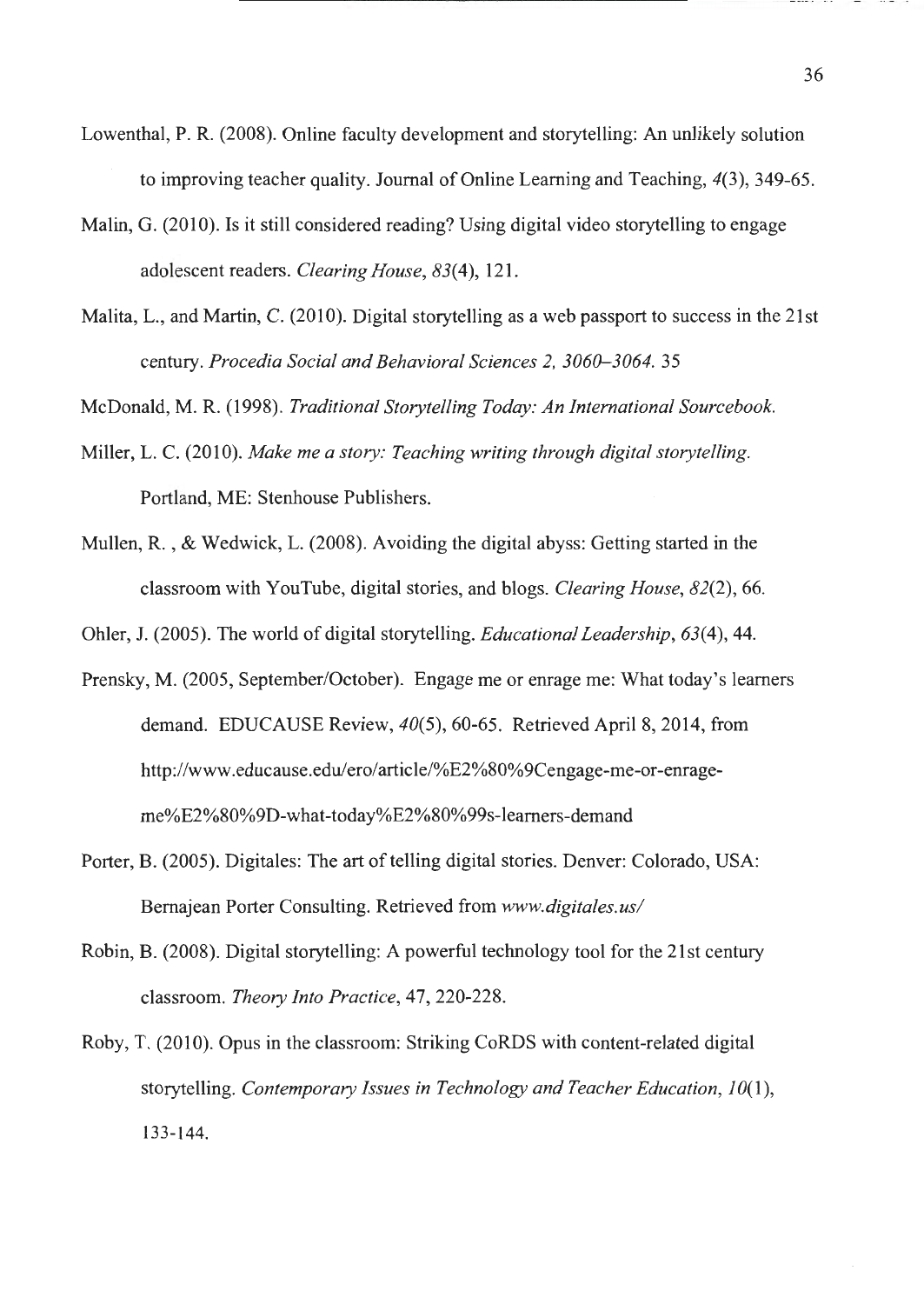- Lowenthal, P.R. (2008). Online faculty development and storytelling: An unlikely solution to improving teacher quality. Journal of Online Leaming and Teaching, *4(3),* 349-65.
- Malin, G. (2010). Is it still considered reading? Using digital video storytelling to engage adolescent readers. *Clearing House, 83(4),* 121.
- Malita, L., and Martin, C. (2010). Digital storytelling as a web passport to success in the 21st century. *Procedia Social and Behavioral Sciences 2, 3060-3064.* 35

McDonald, M. R. (1998). *Traditional Storytelling Today: An International Sourcebook.* 

- Miller, L. C. (2010). *Make me a story: Teaching writing through digital storytelling.*  Portland, ME: Stenhouse Publishers.
- Mullen, R. , & Wedwick, L. (2008). Avoiding the digital abyss: Getting started in the classroom with Y ouTube, digital stories, and blogs. *Clearing House, 82(2),* 66.

Ohler, J. (2005). The world of digital storytelling. *Educational Leadership, 63(4),* 44.

- Prensky, M. (2005, September/October). Engage me or enrage me: What today's learners demand. EDUCAUSE Review, *40(5),* 60-65. Retrieved April 8, 2014, from http://www.educause.edu/ero/article/%E2%80%9Cengage-me-or-enrageme%E2%80%9D-what-today%E2%80%99s-leamers-demand
- Porter, B. (2005). Digitales: The art of telling digital stories. Denver: Colorado, USA: Bemajean Porter Consulting. Retrieved from *www.digitales.us/*
- Robin, B. (2008). Digital storytelling: A powerful technology tool for the 21st century classroom. *Theory Into Practice,* 47, 220-228.
- Roby, T. (2010). Opus in the classroom: Striking CoRDS with content-related digital storytelling. *Contemporary Issues in Technology and Teacher Education*, 10(1), 133-144.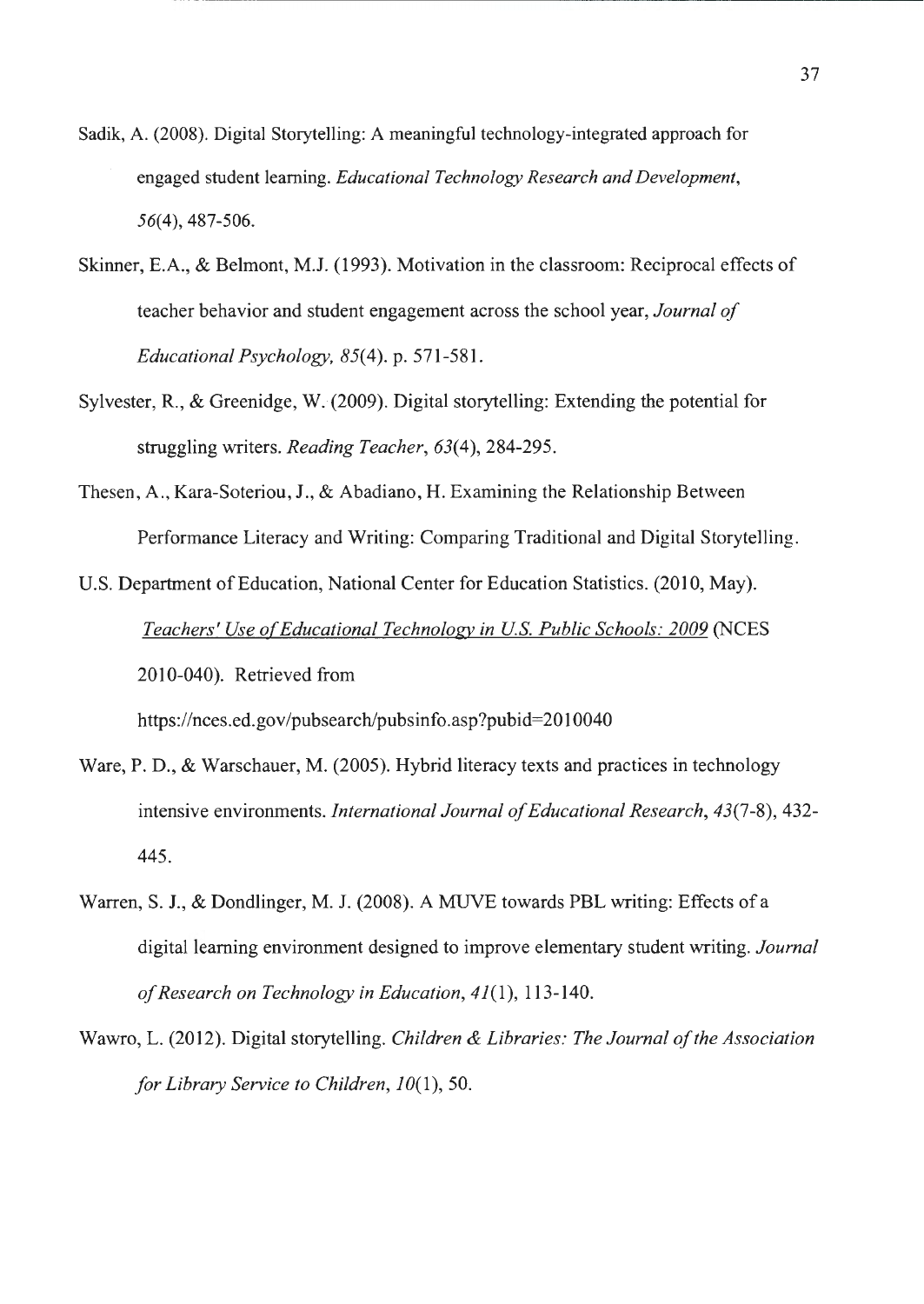- Sadik, A. (2008). Digital Storytelling: A meaningful technology-integrated approach for engaged student learning. *Educational Technology Research and Development,*  56(4), 487-506.
- Skinner, E.A., & Belmont, **M.J.** (1993). Motivation in the classroom: Reciprocal effects of teacher behavior and student engagement across the school year, *Journal of Educational Psychology,* 85(4). p. 571-581.
- Sylvester, **R.,** & Greenidge, W. (2009). Digital storytelling: Extending the potential for struggling writers. *Reading Teacher,* 63(4), 284-295.
- Thesen, A., Kara-Soteriou, J., & Abadiano, H. Examining the Relationship Between Performance Literacy and Writing: Comparing Traditional and Digital Storytelling.
- U.S. Department of Education, National Center for Education Statistics. (2010, May). Teachers' Use of Educational Technology in U.S. Public Schools: 2009 (NCES 2010-040). Retrieved from

https ://nces.ed. gov /pubsearch/pubsinfo. asp ?pubid=2010040

- Ware, P. D., & Warschauer, M. (2005). Hybrid literacy texts and practices in technology intensive environments. *International Journal of Educational Research,* 43(7-8), 432- 445.
- Warren, S. J., & Dondlinger, M. J. (2008). A MUVE towards PBL writing: Effects of a digital learning environment designed to improve elementary student writing. *Journal of Research on Technology in Education,* 41(1), 113-140.
- Wawro, L. (2012). Digital storytelling. *Children & Libraries: The Journal of the Association for Library Service to Children, 10(1), 50.*